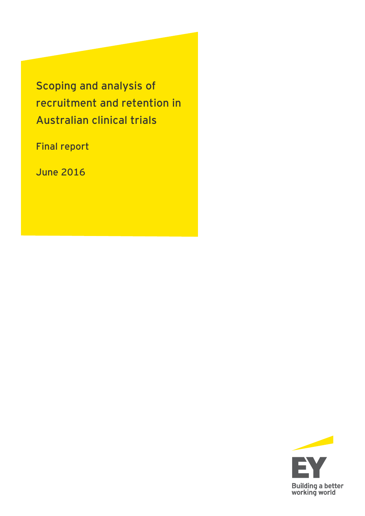**Scoping and analysis of recruitment and retention in Australian clinical trials**

**Final report**

**June 2016**

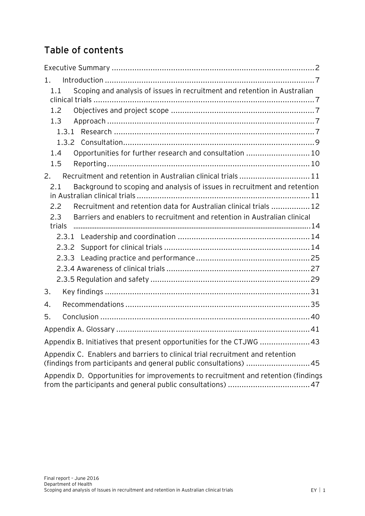# **Table of contents**

| 1.                                                                                                                                                 |
|----------------------------------------------------------------------------------------------------------------------------------------------------|
| Scoping and analysis of issues in recruitment and retention in Australian<br>1.1                                                                   |
| 1.2                                                                                                                                                |
| 1.3                                                                                                                                                |
| 1.3.1                                                                                                                                              |
|                                                                                                                                                    |
| Opportunities for further research and consultation  10<br>1.4                                                                                     |
| 1.5                                                                                                                                                |
| Recruitment and retention in Australian clinical trials  11<br>2.                                                                                  |
| Background to scoping and analysis of issues in recruitment and retention<br>2.1                                                                   |
| Recruitment and retention data for Australian clinical trials  12<br>2.2                                                                           |
| 2.3<br>Barriers and enablers to recruitment and retention in Australian clinical                                                                   |
| trials                                                                                                                                             |
|                                                                                                                                                    |
| 2.3.2                                                                                                                                              |
| 2.3.3                                                                                                                                              |
|                                                                                                                                                    |
|                                                                                                                                                    |
| 3.                                                                                                                                                 |
| 4.                                                                                                                                                 |
| 5.                                                                                                                                                 |
|                                                                                                                                                    |
| Appendix B. Initiatives that present opportunities for the CTJWG  43                                                                               |
| Appendix C. Enablers and barriers to clinical trial recruitment and retention<br>(findings from participants and general public consultations)  45 |
| Appendix D. Opportunities for improvements to recruitment and retention (findings                                                                  |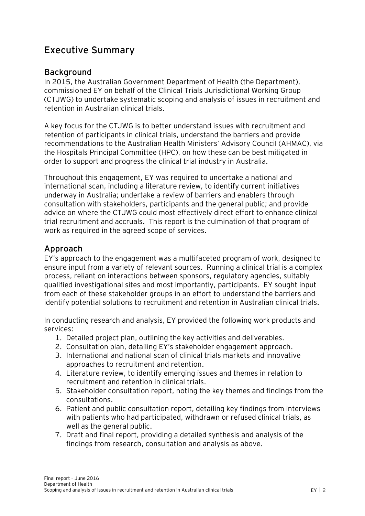## <span id="page-2-0"></span>**Executive Summary**

## **Background**

In 2015, the Australian Government Department of Health (the Department), commissioned EY on behalf of the Clinical Trials Jurisdictional Working Group (CTJWG) to undertake systematic scoping and analysis of issues in recruitment and retention in Australian clinical trials.

A key focus for the CTJWG is to better understand issues with recruitment and retention of participants in clinical trials, understand the barriers and provide recommendations to the Australian Health Ministers' Advisory Council (AHMAC), via the Hospitals Principal Committee (HPC), on how these can be best mitigated in order to support and progress the clinical trial industry in Australia.

Throughout this engagement, EY was required to undertake a national and international scan, including a literature review, to identify current initiatives underway in Australia; undertake a review of barriers and enablers through consultation with stakeholders, participants and the general public; and provide advice on where the CTJWG could most effectively direct effort to enhance clinical trial recruitment and accruals. This report is the culmination of that program of work as required in the agreed scope of services.

## **Approach**

EY's approach to the engagement was a multifaceted program of work, designed to ensure input from a variety of relevant sources. Running a clinical trial is a complex process, reliant on interactions between sponsors, regulatory agencies, suitably qualified investigational sites and most importantly, participants. EY sought input from each of these stakeholder groups in an effort to understand the barriers and identify potential solutions to recruitment and retention in Australian clinical trials.

In conducting research and analysis, EY provided the following work products and services:

- 1. Detailed project plan, outlining the key activities and deliverables.
- 2. Consultation plan, detailing EY's stakeholder engagement approach.
- 3. International and national scan of clinical trials markets and innovative approaches to recruitment and retention.
- 4. Literature review, to identify emerging issues and themes in relation to recruitment and retention in clinical trials.
- 5. Stakeholder consultation report, noting the key themes and findings from the consultations.
- 6. Patient and public consultation report, detailing key findings from interviews with patients who had participated, withdrawn or refused clinical trials, as well as the general public.
- 7. Draft and final report, providing a detailed synthesis and analysis of the findings from research, consultation and analysis as above.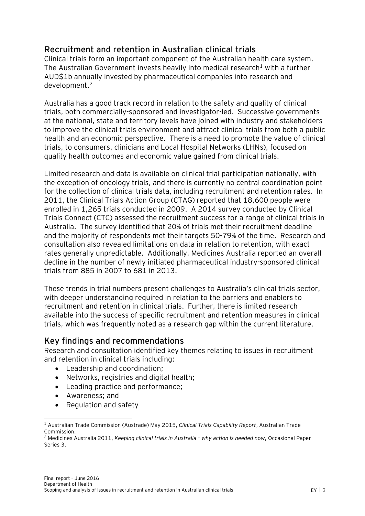## **Recruitment and retention in Australian clinical trials**

Clinical trials form an important component of the Australian health care system. The Australian Government invests heavily into medical research<sup>1</sup> with a further AUD\$1b annually invested by pharmaceutical companies into research and development.<sup>2</sup>

Australia has a good track record in relation to the safety and quality of clinical trials, both commercially-sponsored and investigator-led. Successive governments at the national, state and territory levels have joined with industry and stakeholders to improve the clinical trials environment and attract clinical trials from both a public health and an economic perspective. There is a need to promote the value of clinical trials, to consumers, clinicians and Local Hospital Networks (LHNs), focused on quality health outcomes and economic value gained from clinical trials.

Limited research and data is available on clinical trial participation nationally, with the exception of oncology trials, and there is currently no central coordination point for the collection of clinical trials data, including recruitment and retention rates. In 2011, the Clinical Trials Action Group (CTAG) reported that 18,600 people were enrolled in 1,265 trials conducted in 2009. A 2014 survey conducted by Clinical Trials Connect (CTC) assessed the recruitment success for a range of clinical trials in Australia. The survey identified that 20% of trials met their recruitment deadline and the majority of respondents met their targets 50-79% of the time. Research and consultation also revealed limitations on data in relation to retention, with exact rates generally unpredictable. Additionally, Medicines Australia reported an overall decline in the number of newly initiated pharmaceutical industry-sponsored clinical trials from 885 in 2007 to 681 in 2013.

These trends in trial numbers present challenges to Australia's clinical trials sector, with deeper understanding required in relation to the barriers and enablers to recruitment and retention in clinical trials. Further, there is limited research available into the success of specific recruitment and retention measures in clinical trials, which was frequently noted as a research gap within the current literature.

## **Key findings and recommendations**

Research and consultation identified key themes relating to issues in recruitment and retention in clinical trials including:

- Leadership and coordination;
- Networks, registries and digital health;
- Leading practice and performance;
- Awareness; and

 $\overline{a}$ 

• Regulation and safety

<sup>1</sup> Australian Trade Commission (Austrade) May 2015, *Clinical Trials Capability Report*, Australian Trade Commission.

<sup>2</sup> Medicines Australia 2011, *Keeping clinical trials in Australia – why action is needed now*, Occasional Paper Series 3.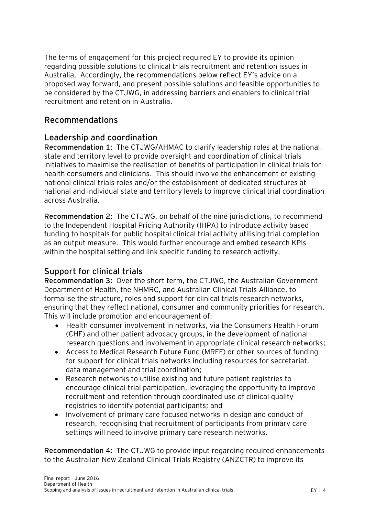The terms of engagement for this project required EY to provide its opinion regarding possible solutions to clinical trials recruitment and retention issues in Australia. Accordingly, the recommendations below reflect EY's advice on a proposed way forward, and present possible solutions and feasible opportunities to be considered by the CTJWG, in addressing barriers and enablers to clinical trial recruitment and retention in Australia.

## **Recommendations**

## **Leadership and coordination**

**Recommendation 1**: The CTJWG/AHMAC to clarify leadership roles at the national, state and territory level to provide oversight and coordination of clinical trials initiatives to maximise the realisation of benefits of participation in clinical trials for health consumers and clinicians. This should involve the enhancement of existing national clinical trials roles and/or the establishment of dedicated structures at national and individual state and territory levels to improve clinical trial coordination across Australia.

**Recommendation 2:** The CTJWG, on behalf of the nine jurisdictions, to recommend to the Independent Hospital Pricing Authority (IHPA) to introduce activity based funding to hospitals for public hospital clinical trial activity utilising trial completion as an output measure. This would further encourage and embed research KPIs within the hospital setting and link specific funding to research activity.

## **Support for clinical trials**

**Recommendation 3:** Over the short term, the CTJWG, the Australian Government Department of Health, the NHMRC, and Australian Clinical Trials Alliance, to formalise the structure, roles and support for clinical trials research networks, ensuring that they reflect national, consumer and community priorities for research. This will include promotion and encouragement of:

- Health consumer involvement in networks, via the Consumers Health Forum (CHF) and other patient advocacy groups, in the development of national research questions and involvement in appropriate clinical research networks;
- Access to Medical Research Future Fund (MRFF) or other sources of funding for support for clinical trials networks including resources for secretariat, data management and trial coordination;
- Research networks to utilise existing and future patient registries to encourage clinical trial participation, leveraging the opportunity to improve recruitment and retention through coordinated use of clinical quality registries to identify potential participants; and
- Involvement of primary care focused networks in design and conduct of research, recognising that recruitment of participants from primary care settings will need to involve primary care research networks.

**Recommendation 4:** The CTJWG to provide input regarding required enhancements to the Australian New Zealand Clinical Trials Registry (ANZCTR) to improve its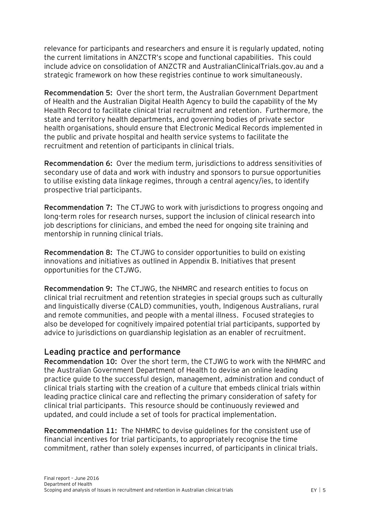relevance for participants and researchers and ensure it is regularly updated, noting the current limitations in ANZCTR's scope and functional capabilities. This could include advice on consolidation of ANZCTR and AustralianClinicalTrials.gov.au and a strategic framework on how these registries continue to work simultaneously.

**Recommendation 5:** Over the short term, the Australian Government Department of Health and the Australian Digital Health Agency to build the capability of the My Health Record to facilitate clinical trial recruitment and retention. Furthermore, the state and territory health departments, and governing bodies of private sector health organisations, should ensure that Electronic Medical Records implemented in the public and private hospital and health service systems to facilitate the recruitment and retention of participants in clinical trials.

**Recommendation 6:** Over the medium term, jurisdictions to address sensitivities of secondary use of data and work with industry and sponsors to pursue opportunities to utilise existing data linkage regimes, through a central agency/ies, to identify prospective trial participants.

**Recommendation 7:** The CTJWG to work with jurisdictions to progress ongoing and long-term roles for research nurses, support the inclusion of clinical research into job descriptions for clinicians, and embed the need for ongoing site training and mentorship in running clinical trials.

**Recommendation 8:** The CTJWG to consider opportunities to build on existing innovations and initiatives as outlined in Appendix B. Initiatives that present opportunities for the CTJWG.

**Recommendation 9:** The CTJWG, the NHMRC and research entities to focus on clinical trial recruitment and retention strategies in special groups such as culturally and linguistically diverse (CALD) communities, youth, Indigenous Australians, rural and remote communities, and people with a mental illness. Focused strategies to also be developed for cognitively impaired potential trial participants, supported by advice to jurisdictions on guardianship legislation as an enabler of recruitment.

### **Leading practice and performance**

**Recommendation 10:** Over the short term, the CTJWG to work with the NHMRC and the Australian Government Department of Health to devise an online leading practice guide to the successful design, management, administration and conduct of clinical trials starting with the creation of a culture that embeds clinical trials within leading practice clinical care and reflecting the primary consideration of safety for clinical trial participants. This resource should be continuously reviewed and updated, and could include a set of tools for practical implementation.

**Recommendation 11:** The NHMRC to devise guidelines for the consistent use of financial incentives for trial participants, to appropriately recognise the time commitment, rather than solely expenses incurred, of participants in clinical trials.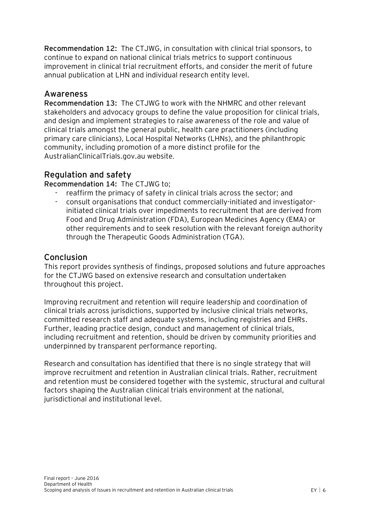**Recommendation 12:** The CTJWG, in consultation with clinical trial sponsors, to continue to expand on national clinical trials metrics to support continuous improvement in clinical trial recruitment efforts, and consider the merit of future annual publication at LHN and individual research entity level.

## **Awareness**

**Recommendation 13:** The CTJWG to work with the NHMRC and other relevant stakeholders and advocacy groups to define the value proposition for clinical trials, and design and implement strategies to raise awareness of the role and value of clinical trials amongst the general public, health care practitioners (including primary care clinicians), Local Hospital Networks (LHNs), and the philanthropic community, including promotion of a more distinct profile for the AustralianClinicalTrials.gov.au website.

## **Regulation and safety**

#### **Recommendation 14:** The CTJWG to;

- reaffirm the primacy of safety in clinical trials across the sector; and
- consult organisations that conduct commercially-initiated and investigatorinitiated clinical trials over impediments to recruitment that are derived from Food and Drug Administration (FDA), European Medicines Agency (EMA) or other requirements and to seek resolution with the relevant foreign authority through the Therapeutic Goods Administration (TGA).

### **Conclusion**

This report provides synthesis of findings, proposed solutions and future approaches for the CTJWG based on extensive research and consultation undertaken throughout this project.

Improving recruitment and retention will require leadership and coordination of clinical trials across jurisdictions, supported by inclusive clinical trials networks, committed research staff and adequate systems, including registries and EHRs. Further, leading practice design, conduct and management of clinical trials, including recruitment and retention, should be driven by community priorities and underpinned by transparent performance reporting.

Research and consultation has identified that there is no single strategy that will improve recruitment and retention in Australian clinical trials. Rather, recruitment and retention must be considered together with the systemic, structural and cultural factors shaping the Australian clinical trials environment at the national, jurisdictional and institutional level.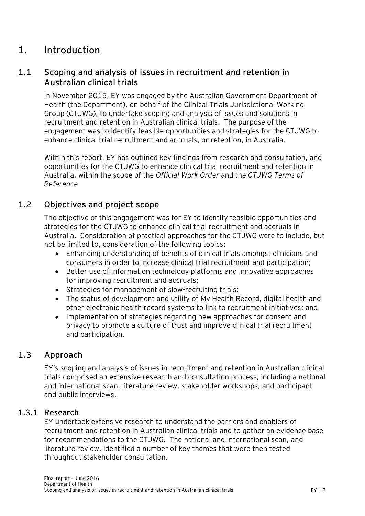## <span id="page-7-0"></span>**1. Introduction**

## <span id="page-7-1"></span>**1.1 Scoping and analysis of issues in recruitment and retention in Australian clinical trials**

In November 2015, EY was engaged by the Australian Government Department of Health (the Department), on behalf of the Clinical Trials Jurisdictional Working Group (CTJWG), to undertake scoping and analysis of issues and solutions in recruitment and retention in Australian clinical trials. The purpose of the engagement was to identify feasible opportunities and strategies for the CTJWG to enhance clinical trial recruitment and accruals, or retention, in Australia.

Within this report, EY has outlined key findings from research and consultation, and opportunities for the CTJWG to enhance clinical trial recruitment and retention in Australia, within the scope of the *Official Work Order* and the *CTJWG Terms of Reference*.

## **1.2 Objectives and project scope**

<span id="page-7-2"></span>The objective of this engagement was for EY to identify feasible opportunities and strategies for the CTJWG to enhance clinical trial recruitment and accruals in Australia. Consideration of practical approaches for the CTJWG were to include, but not be limited to, consideration of the following topics:

- Enhancing understanding of benefits of clinical trials amongst clinicians and consumers in order to increase clinical trial recruitment and participation;
- Better use of information technology platforms and innovative approaches for improving recruitment and accruals;
- Strategies for management of slow-recruiting trials;
- The status of development and utility of My Health Record, digital health and other electronic health record systems to link to recruitment initiatives; and
- Implementation of strategies regarding new approaches for consent and privacy to promote a culture of trust and improve clinical trial recruitment and participation.

## **1.3 Approach**

<span id="page-7-3"></span>EY's scoping and analysis of issues in recruitment and retention in Australian clinical trials comprised an extensive research and consultation process, including a national and international scan, literature review, stakeholder workshops, and participant and public interviews.

#### **1.3.1 Research**

<span id="page-7-4"></span>EY undertook extensive research to understand the barriers and enablers of recruitment and retention in Australian clinical trials and to gather an evidence base for recommendations to the CTJWG. The national and international scan, and literature review, identified a number of key themes that were then tested throughout stakeholder consultation.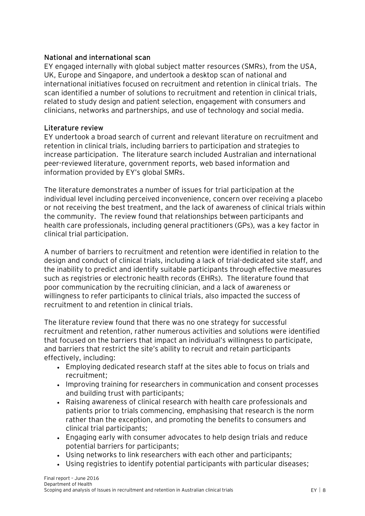#### **National and international scan**

EY engaged internally with global subject matter resources (SMRs), from the USA, UK, Europe and Singapore, and undertook a desktop scan of national and international initiatives focused on recruitment and retention in clinical trials. The scan identified a number of solutions to recruitment and retention in clinical trials, related to study design and patient selection, engagement with consumers and clinicians, networks and partnerships, and use of technology and social media.

#### **Literature review**

EY undertook a broad search of current and relevant literature on recruitment and retention in clinical trials, including barriers to participation and strategies to increase participation. The literature search included Australian and international peer-reviewed literature, government reports, web based information and information provided by EY's global SMRs.

The literature demonstrates a number of issues for trial participation at the individual level including perceived inconvenience, concern over receiving a placebo or not receiving the best treatment, and the lack of awareness of clinical trials within the community. The review found that relationships between participants and health care professionals, including general practitioners (GPs), was a key factor in clinical trial participation.

A number of barriers to recruitment and retention were identified in relation to the design and conduct of clinical trials, including a lack of trial-dedicated site staff, and the inability to predict and identify suitable participants through effective measures such as registries or electronic health records (EHRs). The literature found that poor communication by the recruiting clinician, and a lack of awareness or willingness to refer participants to clinical trials, also impacted the success of recruitment to and retention in clinical trials.

The literature review found that there was no one strategy for successful recruitment and retention, rather numerous activities and solutions were identified that focused on the barriers that impact an individual's willingness to participate, and barriers that restrict the site's ability to recruit and retain participants effectively, including:

- Employing dedicated research staff at the sites able to focus on trials and recruitment;
- Improving training for researchers in communication and consent processes and building trust with participants;
- Raising awareness of clinical research with health care professionals and patients prior to trials commencing, emphasising that research is the norm rather than the exception, and promoting the benefits to consumers and clinical trial participants;
- Engaging early with consumer advocates to help design trials and reduce potential barriers for participants;
- Using networks to link researchers with each other and participants;
- Using registries to identify potential participants with particular diseases;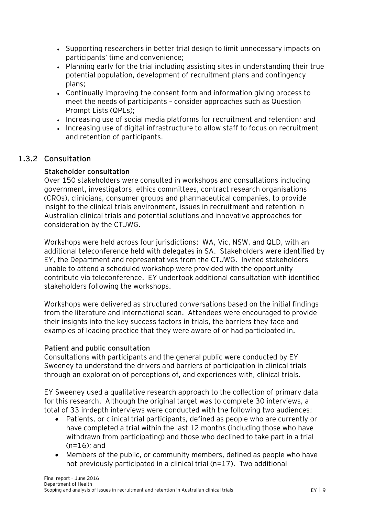- Supporting researchers in better trial design to limit unnecessary impacts on participants' time and convenience;
- Planning early for the trial including assisting sites in understanding their true potential population, development of recruitment plans and contingency plans;
- Continually improving the consent form and information giving process to meet the needs of participants – consider approaches such as Question Prompt Lists (QPLs);
- Increasing use of social media platforms for recruitment and retention; and
- Increasing use of digital infrastructure to allow staff to focus on recruitment and retention of participants.

## **1.3.2 Consultation**

#### <span id="page-9-0"></span>**Stakeholder consultation**

Over 150 stakeholders were consulted in workshops and consultations including government, investigators, ethics committees, contract research organisations (CROs), clinicians, consumer groups and pharmaceutical companies, to provide insight to the clinical trials environment, issues in recruitment and retention in Australian clinical trials and potential solutions and innovative approaches for consideration by the CTJWG.

Workshops were held across four jurisdictions: WA, Vic, NSW, and QLD, with an additional teleconference held with delegates in SA. Stakeholders were identified by EY, the Department and representatives from the CTJWG. Invited stakeholders unable to attend a scheduled workshop were provided with the opportunity contribute via teleconference. EY undertook additional consultation with identified stakeholders following the workshops.

Workshops were delivered as structured conversations based on the initial findings from the literature and international scan. Attendees were encouraged to provide their insights into the key success factors in trials, the barriers they face and examples of leading practice that they were aware of or had participated in.

#### **Patient and public consultation**

Consultations with participants and the general public were conducted by EY Sweeney to understand the drivers and barriers of participation in clinical trials through an exploration of perceptions of, and experiences with, clinical trials.

EY Sweeney used a qualitative research approach to the collection of primary data for this research. Although the original target was to complete 30 interviews, a total of 33 in-depth interviews were conducted with the following two audiences:

- Patients, or clinical trial participants, defined as people who are currently or have completed a trial within the last 12 months (including those who have withdrawn from participating) and those who declined to take part in a trial  $(n=16)$ ; and
- Members of the public, or community members, defined as people who have not previously participated in a clinical trial (n=17). Two additional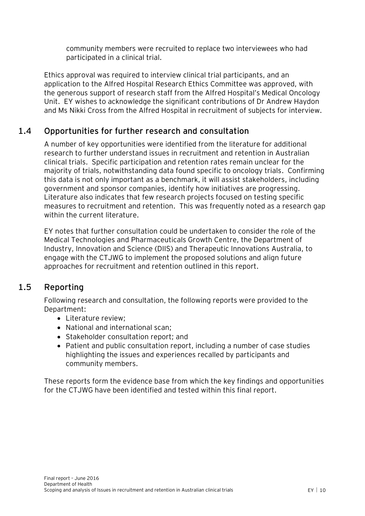community members were recruited to replace two interviewees who had participated in a clinical trial.

Ethics approval was required to interview clinical trial participants, and an application to the Alfred Hospital Research Ethics Committee was approved, with the generous support of research staff from the Alfred Hospital's Medical Oncology Unit. EY wishes to acknowledge the significant contributions of Dr Andrew Haydon and Ms Nikki Cross from the Alfred Hospital in recruitment of subjects for interview.

## **1.4 Opportunities for further research and consultation**

<span id="page-10-0"></span>A number of key opportunities were identified from the literature for additional research to further understand issues in recruitment and retention in Australian clinical trials. Specific participation and retention rates remain unclear for the majority of trials, notwithstanding data found specific to oncology trials. Confirming this data is not only important as a benchmark, it will assist stakeholders, including government and sponsor companies, identify how initiatives are progressing. Literature also indicates that few research projects focused on testing specific measures to recruitment and retention. This was frequently noted as a research gap within the current literature.

EY notes that further consultation could be undertaken to consider the role of the Medical Technologies and Pharmaceuticals Growth Centre, the Department of Industry, Innovation and Science (DIIS) and Therapeutic Innovations Australia, to engage with the CTJWG to implement the proposed solutions and align future approaches for recruitment and retention outlined in this report.

## **1.5 Reporting**

<span id="page-10-1"></span>Following research and consultation, the following reports were provided to the Department:

- Literature review:
- National and international scan;
- Stakeholder consultation report; and
- Patient and public consultation report, including a number of case studies highlighting the issues and experiences recalled by participants and community members.

These reports form the evidence base from which the key findings and opportunities for the CTJWG have been identified and tested within this final report.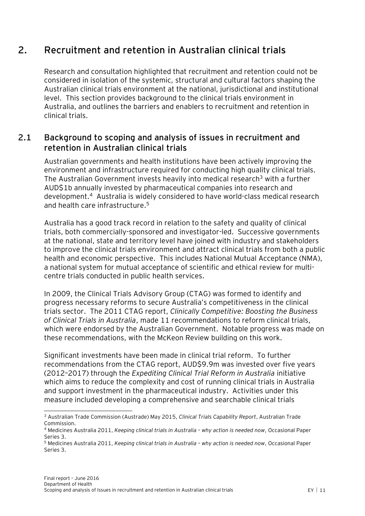## **2. Recruitment and retention in Australian clinical trials**

<span id="page-11-0"></span>Research and consultation highlighted that recruitment and retention could not be considered in isolation of the systemic, structural and cultural factors shaping the Australian clinical trials environment at the national, jurisdictional and institutional level. This section provides background to the clinical trials environment in Australia, and outlines the barriers and enablers to recruitment and retention in clinical trials.

## <span id="page-11-1"></span>**2.1 Background to scoping and analysis of issues in recruitment and retention in Australian clinical trials**

Australian governments and health institutions have been actively improving the environment and infrastructure required for conducting high quality clinical trials. The Australian Government invests heavily into medical research<sup>3</sup> with a further AUD\$1b annually invested by pharmaceutical companies into research and development.<sup>4</sup> Australia is widely considered to have world-class medical research and health care infrastructure.<sup>5</sup>

Australia has a good track record in relation to the safety and quality of clinical trials, both commercially-sponsored and investigator-led. Successive governments at the national, state and territory level have joined with industry and stakeholders to improve the clinical trials environment and attract clinical trials from both a public health and economic perspective. This includes National Mutual Acceptance (NMA), a national system for mutual acceptance of scientific and ethical review for multicentre trials conducted in public health services.

In 2009, the Clinical Trials Advisory Group (CTAG) was formed to identify and progress necessary reforms to secure Australia's competitiveness in the clinical trials sector. The 2011 CTAG report, *Clinically Competitive: Boosting the Business of Clinical Trials in Australia*, made 11 recommendations to reform clinical trials, which were endorsed by the Australian Government. Notable progress was made on these recommendations, with the McKeon Review building on this work.

Significant investments have been made in clinical trial reform. To further recommendations from the CTAG report, AUD\$9.9m was invested over five years (2012–2017) through the *Expediting Clinical Trial Reform in Australia* initiative which aims to reduce the complexity and cost of running clinical trials in Australia and support investment in the pharmaceutical industry. Activities under this measure included developing a comprehensive and searchable clinical trials

 $\overline{a}$ 

<sup>3</sup> Australian Trade Commission (Austrade) May 2015, *Clinical Trials Capability Report*, Australian Trade Commission.

<sup>4</sup> Medicines Australia 2011, *Keeping clinical trials in Australia – why action is needed now*, Occasional Paper Series 3.

<sup>5</sup> Medicines Australia 2011, *Keeping clinical trials in Australia – why action is needed now*, Occasional Paper Series 3.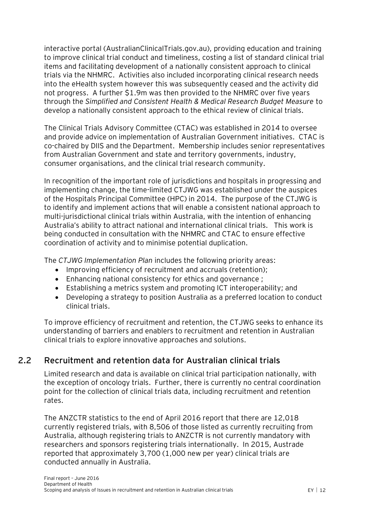interactive portal (AustralianClinicalTrials.gov.au), providing education and training to improve clinical trial conduct and timeliness, costing a list of standard clinical trial items and facilitating development of a nationally consistent approach to clinical trials via the NHMRC. Activities also included incorporating clinical research needs into the eHealth system however this was subsequently ceased and the activity did not progress. A further \$1.9m was then provided to the NHMRC over five years through the *Simplified and Consistent Health & Medical Research Budget Measure* to develop a nationally consistent approach to the ethical review of clinical trials.

The Clinical Trials Advisory Committee (CTAC) was established in 2014 to oversee and provide advice on implementation of Australian Government initiatives. CTAC is co-chaired by DIIS and the Department. Membership includes senior representatives from Australian Government and state and territory governments, industry, consumer organisations, and the clinical trial research community.

In recognition of the important role of jurisdictions and hospitals in progressing and implementing change, the time-limited CTJWG was established under the auspices of the Hospitals Principal Committee (HPC) in 2014. The purpose of the CTJWG is to identify and implement actions that will enable a consistent national approach to multi-jurisdictional clinical trials within Australia, with the intention of enhancing Australia's ability to attract national and international clinical trials. This work is being conducted in consultation with the NHMRC and CTAC to ensure effective coordination of activity and to minimise potential duplication.

The *CTJWG Implementation Plan* includes the following priority areas:

- Improving efficiency of recruitment and accruals (retention);
- Enhancing national consistency for ethics and governance ;
- Establishing a metrics system and promoting ICT interoperability; and
- Developing a strategy to position Australia as a preferred location to conduct clinical trials.

To improve efficiency of recruitment and retention, the CTJWG seeks to enhance its understanding of barriers and enablers to recruitment and retention in Australian clinical trials to explore innovative approaches and solutions.

## **2.2 Recruitment and retention data for Australian clinical trials**

<span id="page-12-0"></span>Limited research and data is available on clinical trial participation nationally, with the exception of oncology trials. Further, there is currently no central coordination point for the collection of clinical trials data, including recruitment and retention rates.

The ANZCTR statistics to the end of April 2016 report that there are 12,018 currently registered trials, with 8,506 of those listed as currently recruiting from Australia, although registering trials to ANZCTR is not currently mandatory with researchers and sponsors registering trials internationally. In 2015, Austrade reported that approximately 3,700 (1,000 new per year) clinical trials are conducted annually in Australia.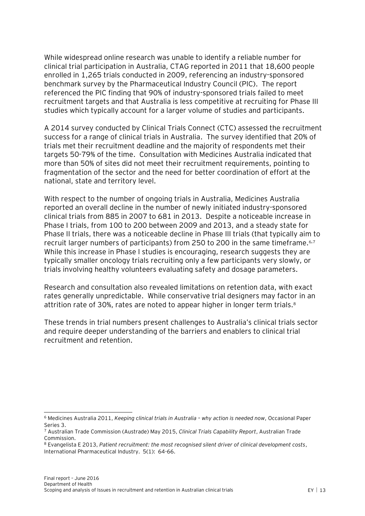While widespread online research was unable to identify a reliable number for clinical trial participation in Australia, CTAG reported in 2011 that 18,600 people enrolled in 1,265 trials conducted in 2009, referencing an industry-sponsored benchmark survey by the Pharmaceutical Industry Council (PIC). The report referenced the PIC finding that 90% of industry-sponsored trials failed to meet recruitment targets and that Australia is less competitive at recruiting for Phase III studies which typically account for a larger volume of studies and participants.

A 2014 survey conducted by Clinical Trials Connect (CTC) assessed the recruitment success for a range of clinical trials in Australia. The survey identified that 20% of trials met their recruitment deadline and the majority of respondents met their targets 50-79% of the time. Consultation with Medicines Australia indicated that more than 50% of sites did not meet their recruitment requirements, pointing to fragmentation of the sector and the need for better coordination of effort at the national, state and territory level.

With respect to the number of ongoing trials in Australia, Medicines Australia reported an overall decline in the number of newly initiated industry-sponsored clinical trials from 885 in 2007 to 681 in 2013. Despite a noticeable increase in Phase I trials, from 100 to 200 between 2009 and 2013, and a steady state for Phase II trials, there was a noticeable decline in Phase III trials (that typically aim to recruit larger numbers of participants) from 250 to 200 in the same timeframe.<sup>6,7</sup> While this increase in Phase I studies is encouraging, research suggests they are typically smaller oncology trials recruiting only a few participants very slowly, or trials involving healthy volunteers evaluating safety and dosage parameters.

Research and consultation also revealed limitations on retention data, with exact rates generally unpredictable. While conservative trial designers may factor in an attrition rate of 30%, rates are noted to appear higher in longer term trials.<sup>8</sup>

These trends in trial numbers present challenges to Australia's clinical trials sector and require deeper understanding of the barriers and enablers to clinical trial recruitment and retention.

 $\overline{a}$ <sup>6</sup> Medicines Australia 2011, *Keeping clinical trials in Australia – why action is needed now*, Occasional Paper Series 3.

<sup>7</sup> Australian Trade Commission (Austrade) May 2015, *Clinical Trials Capability Report*, Australian Trade Commission.

<sup>8</sup> Evangelista E 2013, *Patient recruitment: the most recognised silent driver of clinical development costs*, International Pharmaceutical Industry. 5(1): 64-66.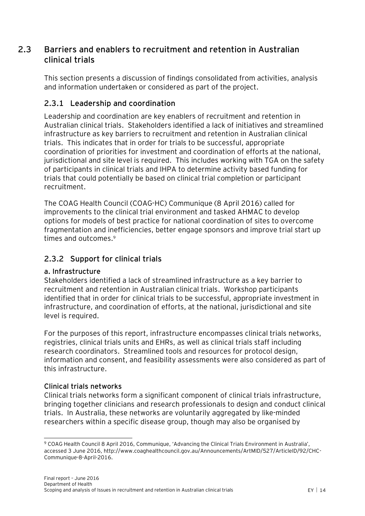## <span id="page-14-0"></span>**2.3 Barriers and enablers to recruitment and retention in Australian clinical trials**

This section presents a discussion of findings consolidated from activities, analysis and information undertaken or considered as part of the project.

## <span id="page-14-1"></span>**2.3.1 Leadership and coordination**

Leadership and coordination are key enablers of recruitment and retention in Australian clinical trials. Stakeholders identified a lack of initiatives and streamlined infrastructure as key barriers to recruitment and retention in Australian clinical trials. This indicates that in order for trials to be successful, appropriate coordination of priorities for investment and coordination of efforts at the national, jurisdictional and site level is required. This includes working with TGA on the safety of participants in clinical trials and IHPA to determine activity based funding for trials that could potentially be based on clinical trial completion or participant recruitment.

The COAG Health Council (COAG-HC) Communique (8 April 2016) called for improvements to the clinical trial environment and tasked AHMAC to develop options for models of best practice for national coordination of sites to overcome fragmentation and inefficiencies, better engage sponsors and improve trial start up times and outcomes.<sup>9</sup>

### <span id="page-14-2"></span>**2.3.2 Support for clinical trials**

#### **a. Infrastructure**

Stakeholders identified a lack of streamlined infrastructure as a key barrier to recruitment and retention in Australian clinical trials. Workshop participants identified that in order for clinical trials to be successful, appropriate investment in infrastructure, and coordination of efforts, at the national, jurisdictional and site level is required.

For the purposes of this report, infrastructure encompasses clinical trials networks, registries, clinical trials units and EHRs, as well as clinical trials staff including research coordinators. Streamlined tools and resources for protocol design, information and consent, and feasibility assessments were also considered as part of this infrastructure.

#### **Clinical trials networks**

Clinical trials networks form a significant component of clinical trials infrastructure, bringing together clinicians and research professionals to design and conduct clinical trials. In Australia, these networks are voluntarily aggregated by like-minded researchers within a specific disease group, though may also be organised by

 $\overline{a}$ <sup>9</sup> COAG Health Council 8 April 2016, Communique, 'Advancing the Clinical Trials Environment in Australia', accessed 3 June 2016[, http://www.coaghealthcouncil.gov.au/Announcements/ArtMID/527/ArticleID/92/CHC-](http://www.coaghealthcouncil.gov.au/Announcements/ArtMID/527/ArticleID/92/CHC-Communique-8-April-2016)[Communique-8-April-2016.](http://www.coaghealthcouncil.gov.au/Announcements/ArtMID/527/ArticleID/92/CHC-Communique-8-April-2016)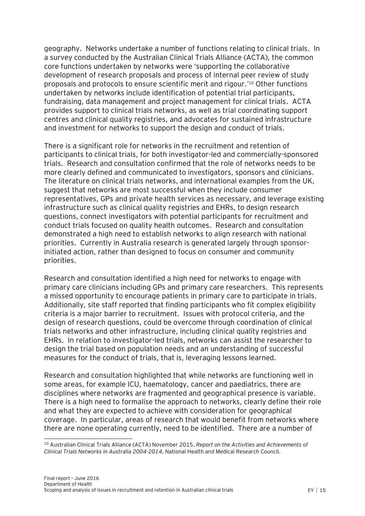geography. Networks undertake a number of functions relating to clinical trials. In a survey conducted by the Australian Clinical Trials Alliance (ACTA), the common core functions undertaken by networks were 'supporting the collaborative development of research proposals and process of internal peer review of study proposals and protocols to ensure scientific merit and rigour.' <sup>10</sup> Other functions undertaken by networks include identification of potential trial participants, fundraising, data management and project management for clinical trials. ACTA provides support to clinical trials networks, as well as trial coordinating support centres and clinical quality registries, and advocates for sustained infrastructure and investment for networks to support the design and conduct of trials.

There is a significant role for networks in the recruitment and retention of participants to clinical trials, for both investigator-led and commercially-sponsored trials. Research and consultation confirmed that the role of networks needs to be more clearly defined and communicated to investigators, sponsors and clinicians. The literature on clinical trials networks, and international examples from the UK, suggest that networks are most successful when they include consumer representatives, GPs and private health services as necessary, and leverage existing infrastructure such as clinical quality registries and EHRs, to design research questions, connect investigators with potential participants for recruitment and conduct trials focused on quality health outcomes. Research and consultation demonstrated a high need to establish networks to align research with national priorities. Currently in Australia research is generated largely through sponsorinitiated action, rather than designed to focus on consumer and community priorities.

Research and consultation identified a high need for networks to engage with primary care clinicians including GPs and primary care researchers. This represents a missed opportunity to encourage patients in primary care to participate in trials. Additionally, site staff reported that finding participants who fit complex eligibility criteria is a major barrier to recruitment. Issues with protocol criteria, and the design of research questions, could be overcome through coordination of clinical trials networks and other infrastructure, including clinical quality registries and EHRs. In relation to investigator-led trials, networks can assist the researcher to design the trial based on population needs and an understanding of successful measures for the conduct of trials, that is, leveraging lessons learned.

Research and consultation highlighted that while networks are functioning well in some areas, for example ICU, haematology, cancer and paediatrics, there are disciplines where networks are fragmented and geographical presence is variable. There is a high need to formalise the approach to networks, clearly define their role and what they are expected to achieve with consideration for geographical coverage. In particular, areas of research that would benefit from networks where there are none operating currently, need to be identified. There are a number of

 $\overline{a}$ 

<sup>10</sup> Australian Clinical Trials Alliance (ACTA) November 2015, *Report on the Activities and Achievements of Clinical Trials Networks in Australia 2004-2014*, National Health and Medical Research Council.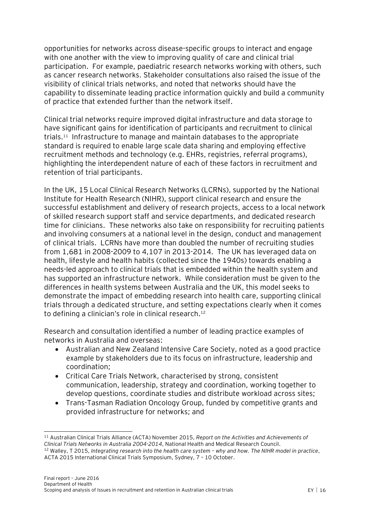opportunities for networks across disease-specific groups to interact and engage with one another with the view to improving quality of care and clinical trial participation. For example, paediatric research networks working with others, such as cancer research networks. Stakeholder consultations also raised the issue of the visibility of clinical trials networks, and noted that networks should have the capability to disseminate leading practice information quickly and build a community of practice that extended further than the network itself.

Clinical trial networks require improved digital infrastructure and data storage to have significant gains for identification of participants and recruitment to clinical trials.<sup>11</sup> Infrastructure to manage and maintain databases to the appropriate standard is required to enable large scale data sharing and employing effective recruitment methods and technology (e.g. EHRs, registries, referral programs), highlighting the interdependent nature of each of these factors in recruitment and retention of trial participants.

In the UK, 15 Local Clinical Research Networks (LCRNs), supported by the National Institute for Health Research (NIHR), support clinical research and ensure the successful establishment and delivery of research projects, access to a local network of skilled research support staff and service departments, and dedicated research time for clinicians. These networks also take on responsibility for recruiting patients and involving consumers at a national level in the design, conduct and management of clinical trials. LCRNs have more than doubled the number of recruiting studies from 1,681 in 2008-2009 to 4,107 in 2013-2014. The UK has leveraged data on health, lifestyle and health habits (collected since the 1940s) towards enabling a needs-led approach to clinical trials that is embedded within the health system and has supported an infrastructure network. While consideration must be given to the differences in health systems between Australia and the UK, this model seeks to demonstrate the impact of embedding research into health care, supporting clinical trials through a dedicated structure, and setting expectations clearly when it comes to defining a clinician's role in clinical research.<sup>12</sup>

Research and consultation identified a number of leading practice examples of networks in Australia and overseas:

- Australian and New Zealand Intensive Care Society, noted as a good practice example by stakeholders due to its focus on infrastructure, leadership and coordination;
- Critical Care Trials Network, characterised by strong, consistent communication, leadership, strategy and coordination, working together to develop questions, coordinate studies and distribute workload across sites;
- Trans-Tasman Radiation Oncology Group, funded by competitive grants and provided infrastructure for networks; and

 $\overline{a}$ <sup>11</sup> Australian Clinical Trials Alliance (ACTA) November 2015, *Report on the Activities and Achievements of Clinical Trials Networks in Australia 2004-2014*, National Health and Medical Research Council.

<sup>12</sup> Walley, T 2015, *Integrating research into the health care system – why and how. The NIHR model in practice*, ACTA 2015 International Clinical Trials Symposium, Sydney, 7 – 10 October.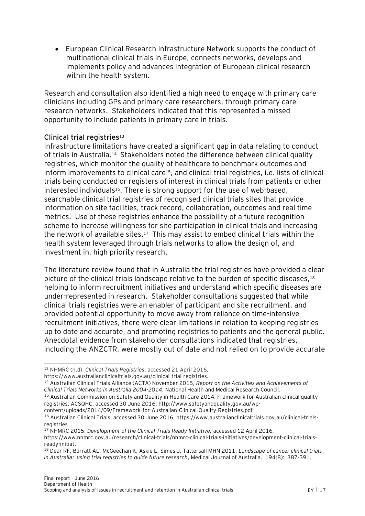European Clinical Research Infrastructure Network supports the conduct of multinational clinical trials in Europe, connects networks, develops and implements policy and advances integration of European clinical research within the health system.

Research and consultation also identified a high need to engage with primary care clinicians including GPs and primary care researchers, through primary care research networks. Stakeholders indicated that this represented a missed opportunity to include patients in primary care in trials.

#### **Clinical trial registries<sup>13</sup>**

Infrastructure limitations have created a significant gap in data relating to conduct of trials in Australia.<sup>14</sup> Stakeholders noted the difference between clinical quality registries, which monitor the quality of healthcare to benchmark outcomes and inform improvements to clinical care<sup>15</sup>, and clinical trial registries, i.e. lists of clinical trials being conducted or registers of interest in clinical trials from patients or other interested individuals<sup>16</sup>. There is strong support for the use of web-based, searchable clinical trial registries of recognised clinical trials sites that provide information on site facilities, track record, collaboration, outcomes and real time metrics. Use of these registries enhance the possibility of a future recognition scheme to increase willingness for site participation in clinical trials and increasing the network of available sites.<sup>17</sup> This may assist to embed clinical trials within the health system leveraged through trials networks to allow the design of, and investment in, high priority research.

The literature review found that in Australia the trial registries have provided a clear picture of the clinical trials landscape relative to the burden of specific diseases, 18 helping to inform recruitment initiatives and understand which specific diseases are under-represented in research. Stakeholder consultations suggested that while clinical trials registries were an enabler of participant and site recruitment, and provided potential opportunity to move away from reliance on time-intensive recruitment initiatives, there were clear limitations in relation to keeping registries up to date and accurate, and promoting registries to patients and the general public. Anecdotal evidence from stakeholder consultations indicated that registries, including the ANZCTR, were mostly out of date and not relied on to provide accurate

 $\overline{a}$ 

<sup>13</sup> NHMRC (n.d), *Clinical Trials Registries*, accessed 21 April 2016,

https://www.australianclinicaltrials.gov.au/clinical-trial-registries.

<sup>14</sup> Australian Clinical Trials Alliance (ACTA) November 2015, *Report on the Activities and Achievements of Clinical Trials Networks in Australia 2004-2014*, National Health and Medical Research Council.

<sup>&</sup>lt;sup>15</sup> Australian Commission on Safety and Quality in Health Care 2014, Framework for Australian clinical quality registries, ACSQHC, accessed 30 June 2016, http://www.safetyandquality.gov.au/wp-

content/uploads/2014/09/Framework-for-Australian-Clinical-Quality-Registries.pdf

<sup>16</sup> Australian Clinical Trials, accessed 30 June 2016, https://www.australianclinicaltrials.gov.au/clinical-trialsregistries

<sup>17</sup> NHMRC 2015, *Development of the Clinical Trials Ready Initiative,* accessed 12 April 2016*,* 

[https://www.nhmrc.gov.au/research/clinical-trials/nhmrc-clinical-trials-initiatives/development-clinical-trials](https://www.nhmrc.gov.au/research/clinical-trials/nhmrc-clinical-trials-initiatives/development-clinical-trials-ready-initiat)[ready-initiat.](https://www.nhmrc.gov.au/research/clinical-trials/nhmrc-clinical-trials-initiatives/development-clinical-trials-ready-initiat)

<sup>18</sup> Dear RF, Barratt AL, McGeechan K, Askie L, Simes J, Tattersall MHN 2011, *Landscape of cancer clinical trials in Australia: using trial registries to guide future research*, Medical Journal of Australia. 194(8): 387-391.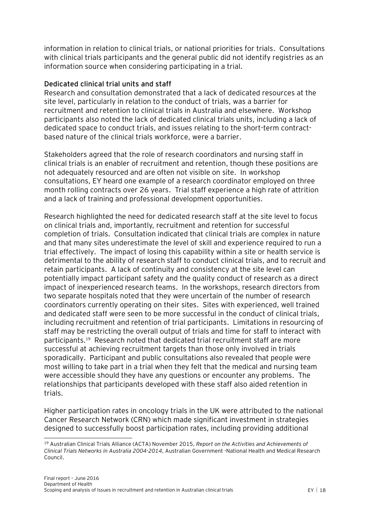information in relation to clinical trials, or national priorities for trials. Consultations with clinical trials participants and the general public did not identify registries as an information source when considering participating in a trial.

#### **Dedicated clinical trial units and staff**

Research and consultation demonstrated that a lack of dedicated resources at the site level, particularly in relation to the conduct of trials, was a barrier for recruitment and retention to clinical trials in Australia and elsewhere. Workshop participants also noted the lack of dedicated clinical trials units, including a lack of dedicated space to conduct trials, and issues relating to the short-term contractbased nature of the clinical trials workforce, were a barrier.

Stakeholders agreed that the role of research coordinators and nursing staff in clinical trials is an enabler of recruitment and retention, though these positions are not adequately resourced and are often not visible on site. In workshop consultations, EY heard one example of a research coordinator employed on three month rolling contracts over 26 years. Trial staff experience a high rate of attrition and a lack of training and professional development opportunities.

Research highlighted the need for dedicated research staff at the site level to focus on clinical trials and, importantly, recruitment and retention for successful completion of trials. Consultation indicated that clinical trials are complex in nature and that many sites underestimate the level of skill and experience required to run a trial effectively. The impact of losing this capability within a site or health service is detrimental to the ability of research staff to conduct clinical trials, and to recruit and retain participants. A lack of continuity and consistency at the site level can potentially impact participant safety and the quality conduct of research as a direct impact of inexperienced research teams. In the workshops, research directors from two separate hospitals noted that they were uncertain of the number of research coordinators currently operating on their sites. Sites with experienced, well trained and dedicated staff were seen to be more successful in the conduct of clinical trials, including recruitment and retention of trial participants. Limitations in resourcing of staff may be restricting the overall output of trials and time for staff to interact with participants.<sup>19</sup> Research noted that dedicated trial recruitment staff are more successful at achieving recruitment targets than those only involved in trials sporadically. Participant and public consultations also revealed that people were most willing to take part in a trial when they felt that the medical and nursing team were accessible should they have any questions or encounter any problems. The relationships that participants developed with these staff also aided retention in trials.

Higher participation rates in oncology trials in the UK were attributed to the national Cancer Research Network (CRN) which made significant investment in strategies designed to successfully boost participation rates, including providing additional

 $\overline{a}$ 

<sup>19</sup> Australian Clinical Trials Alliance (ACTA) November 2015, *Report on the Activities and Achievements of Clinical Trials Networks in Australia 2004-2014*, Australian Government -National Health and Medical Research Council.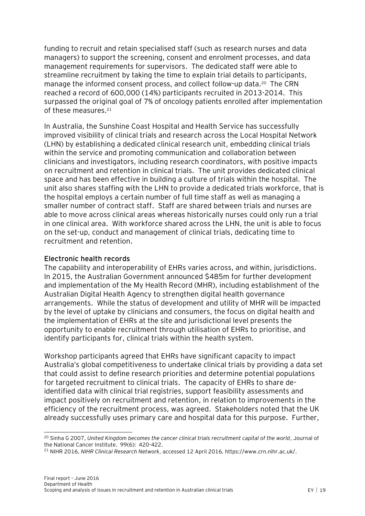funding to recruit and retain specialised staff (such as research nurses and data managers) to support the screening, consent and enrolment processes, and data management requirements for supervisors. The dedicated staff were able to streamline recruitment by taking the time to explain trial details to participants, manage the informed consent process, and collect follow-up data.<sup>20</sup> The CRN reached a record of 600,000 (14%) participants recruited in 2013-2014. This surpassed the original goal of 7% of oncology patients enrolled after implementation of these measures.<sup>21</sup>

In Australia, the Sunshine Coast Hospital and Health Service has successfully improved visibility of clinical trials and research across the Local Hospital Network (LHN) by establishing a dedicated clinical research unit, embedding clinical trials within the service and promoting communication and collaboration between clinicians and investigators, including research coordinators, with positive impacts on recruitment and retention in clinical trials. The unit provides dedicated clinical space and has been effective in building a culture of trials within the hospital. The unit also shares staffing with the LHN to provide a dedicated trials workforce, that is the hospital employs a certain number of full time staff as well as managing a smaller number of contract staff. Staff are shared between trials and nurses are able to move across clinical areas whereas historically nurses could only run a trial in one clinical area. With workforce shared across the LHN, the unit is able to focus on the set-up, conduct and management of clinical trials, dedicating time to recruitment and retention.

#### **Electronic health records**

 $\overline{a}$ 

The capability and interoperability of EHRs varies across, and within, jurisdictions. In 2015, the Australian Government announced \$485m for further development and implementation of the My Health Record (MHR), including establishment of the Australian Digital Health Agency to strengthen digital health governance arrangements. While the status of development and utility of MHR will be impacted by the level of uptake by clinicians and consumers, the focus on digital health and the implementation of EHRs at the site and jurisdictional level presents the opportunity to enable recruitment through utilisation of EHRs to prioritise, and identify participants for, clinical trials within the health system.

Workshop participants agreed that EHRs have significant capacity to impact Australia's global competitiveness to undertake clinical trials by providing a data set that could assist to define research priorities and determine potential populations for targeted recruitment to clinical trials. The capacity of EHRs to share deidentified data with clinical trial registries, support feasibility assessments and impact positively on recruitment and retention, in relation to improvements in the efficiency of the recruitment process, was agreed. Stakeholders noted that the UK already successfully uses primary care and hospital data for this purpose. Further,

<sup>&</sup>lt;sup>20</sup> Sinha G 2007, United Kingdom becomes the cancer clinical trials recruitment capital of the world, Journal of the National Cancer Institute. 99(6): 420-422.

<sup>21</sup> NIHR 2016, *NIHR Clinical Research Network*, accessed 12 April 2016*,* [https://www.crn.nihr.ac.uk/.](https://www.crn.nihr.ac.uk/)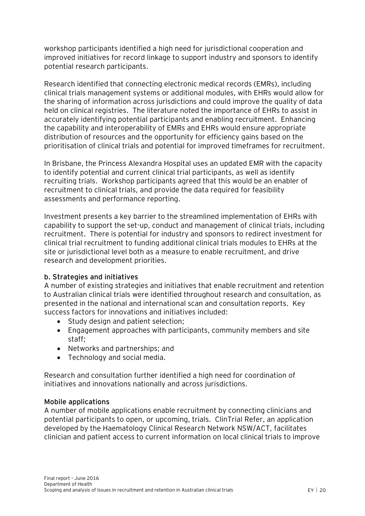workshop participants identified a high need for jurisdictional cooperation and improved initiatives for record linkage to support industry and sponsors to identify potential research participants.

Research identified that connecting electronic medical records (EMRs), including clinical trials management systems or additional modules, with EHRs would allow for the sharing of information across jurisdictions and could improve the quality of data held on clinical registries. The literature noted the importance of EHRs to assist in accurately identifying potential participants and enabling recruitment. Enhancing the capability and interoperability of EMRs and EHRs would ensure appropriate distribution of resources and the opportunity for efficiency gains based on the prioritisation of clinical trials and potential for improved timeframes for recruitment.

In Brisbane, the Princess Alexandra Hospital uses an updated EMR with the capacity to identify potential and current clinical trial participants, as well as identify recruiting trials. Workshop participants agreed that this would be an enabler of recruitment to clinical trials, and provide the data required for feasibility assessments and performance reporting.

Investment presents a key barrier to the streamlined implementation of EHRs with capability to support the set-up, conduct and management of clinical trials, including recruitment. There is potential for industry and sponsors to redirect investment for clinical trial recruitment to funding additional clinical trials modules to EHRs at the site or jurisdictional level both as a measure to enable recruitment, and drive research and development priorities.

#### **b. Strategies and initiatives**

A number of existing strategies and initiatives that enable recruitment and retention to Australian clinical trials were identified throughout research and consultation, as presented in the national and international scan and consultation reports. Key success factors for innovations and initiatives included:

- Study design and patient selection;
- Engagement approaches with participants, community members and site staff;
- Networks and partnerships; and
- Technology and social media.

Research and consultation further identified a high need for coordination of initiatives and innovations nationally and across jurisdictions.

#### **Mobile applications**

A number of mobile applications enable recruitment by connecting clinicians and potential participants to open, or upcoming, trials. ClinTrial Refer, an application developed by the Haematology Clinical Research Network NSW/ACT, facilitates clinician and patient access to current information on local clinical trials to improve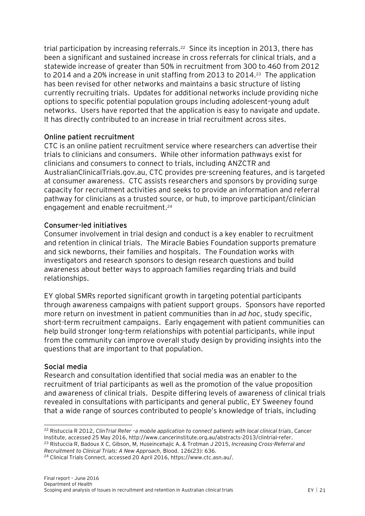trial participation by increasing referrals.<sup>22</sup> Since its inception in 2013, there has been a significant and sustained increase in cross referrals for clinical trials, and a statewide increase of greater than 50% in recruitment from 300 to 460 from 2012 to 2014 and a 20% increase in unit staffing from 2013 to 2014.<sup>23</sup> The application has been revised for other networks and maintains a basic structure of listing currently recruiting trials. Updates for additional networks include providing niche options to specific potential population groups including adolescent-young adult networks. Users have reported that the application is easy to navigate and update. It has directly contributed to an increase in trial recruitment across sites.

#### **Online patient recruitment**

CTC is an online patient recruitment service where researchers can advertise their trials to clinicians and consumers. While other information pathways exist for clinicians and consumers to connect to trials, including ANZCTR and AustralianClinicalTrials.gov.au, CTC provides pre-screening features, and is targeted at consumer awareness. CTC assists researchers and sponsors by providing surge capacity for recruitment activities and seeks to provide an information and referral pathway for clinicians as a trusted source, or hub, to improve participant/clinician engagement and enable recruitment.<sup>24</sup>

#### **Consumer-led initiatives**

Consumer involvement in trial design and conduct is a key enabler to recruitment and retention in clinical trials. The Miracle Babies Foundation supports premature and sick newborns, their families and hospitals. The Foundation works with investigators and research sponsors to design research questions and build awareness about better ways to approach families regarding trials and build relationships.

EY global SMRs reported significant growth in targeting potential participants through awareness campaigns with patient support groups. Sponsors have reported more return on investment in patient communities than in *ad hoc*, study specific, short-term recruitment campaigns. Early engagement with patient communities can help build stronger long-term relationships with potential participants, while input from the community can improve overall study design by providing insights into the questions that are important to that population.

#### **Social media**

 $\overline{a}$ 

Research and consultation identified that social media was an enabler to the recruitment of trial participants as well as the promotion of the value proposition and awareness of clinical trials. Despite differing levels of awareness of clinical trials revealed in consultations with participants and general public, EY Sweeney found that a wide range of sources contributed to people's knowledge of trials, including

<sup>22</sup> Ristuccia R 2012, *ClinTrial Refer –a mobile application to connect patients with local clinical trials*, Cancer Institute, accessed 25 May 2016, http://www.cancerinstitute.org.au/abstracts-2013/clintrial-refer. <sup>23</sup> Ristuccia R, Badoux X C, Gibson, M, Huseincehajic A, & Trotman J 2015, *Increasing Cross-Referral and Recruitment to Clinical Trials: A New Approach*, Blood. 126(23): 636.

<sup>24</sup> Clinical Trials Connect, accessed 20 April 2016, https://www.ctc.asn.au/.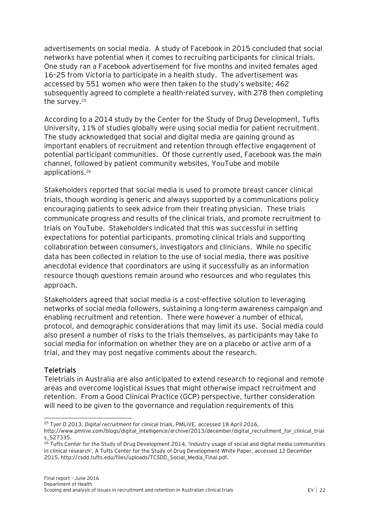advertisements on social media. A study of Facebook in 2015 concluded that social networks have potential when it comes to recruiting participants for clinical trials. One study ran a Facebook advertisement for five months and invited females aged 16–25 from Victoria to participate in a health study. The advertisement was accessed by 551 women who were then taken to the study's website; 462 subsequently agreed to complete a health-related survey, with 278 then completing the survey.<sup>25</sup>

According to a 2014 study by the Center for the Study of Drug Development, Tufts University, 11% of studies globally were using social media for patient recruitment. The study acknowledged that social and digital media are gaining ground as important enablers of recruitment and retention through effective engagement of potential participant communities. Of those currently used, Facebook was the main channel, followed by patient community websites, YouTube and mobile applications.<sup>26</sup>

Stakeholders reported that social media is used to promote breast cancer clinical trials, though wording is generic and always supported by a communications policy encouraging patients to seek advice from their treating physician. These trials communicate progress and results of the clinical trials, and promote recruitment to trials on YouTube. Stakeholders indicated that this was successful in setting expectations for potential participants, promoting clinical trials and supporting collaboration between consumers, investigators and clinicians. While no specific data has been collected in relation to the use of social media, there was positive anecdotal evidence that coordinators are using it successfully as an information resource though questions remain around who resources and who regulates this approach.

Stakeholders agreed that social media is a cost-effective solution to leveraging networks of social media followers, sustaining a long-term awareness campaign and enabling recruitment and retention. There were however a number of ethical, protocol, and demographic considerations that may limit its use. Social media could also present a number of risks to the trials themselves, as participants may take to social media for information on whether they are on a placebo or active arm of a trial, and they may post negative comments about the research.

#### **Teletrials**

Teletrials in Australia are also anticipated to extend research to regional and remote areas and overcome logistical issues that might otherwise impact recruitment and retention. From a Good Clinical Practice (GCP) perspective, further consideration will need to be given to the governance and regulation requirements of this

 $\overline{a}$ <sup>25</sup> Tyer D 2013, *Digital recruitment for clinical trials*, PMLiVE*,* accessed 18 April 2016,

http://www.pmlive.com/blogs/digital\_intelligence/archive/2013/december/digital\_recruitment\_for\_clinical\_trial s\_527335.

<sup>&</sup>lt;sup>26</sup> Tufts Center for the Study of Drug Development 2014, 'Industry usage of social and digital media communities in clinical research', A Tufts Center for the Study of Drug Development White Paper, accessed 12 December 2015, http://csdd.tufts.edu/files/uploads/TCSDD\_Social\_Media\_Final.pdf.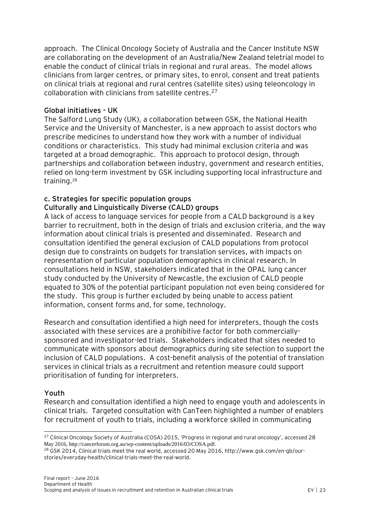approach. The Clinical Oncology Society of Australia and the Cancer Institute NSW are collaborating on the development of an Australia/New Zealand teletrial model to enable the conduct of clinical trials in regional and rural areas. The model allows clinicians from larger centres, or primary sites, to enrol, consent and treat patients on clinical trials at regional and rural centres (satellite sites) using teleoncology in collaboration with clinicians from satellite centres.<sup>27</sup>

#### **Global initiatives - UK**

The Salford Lung Study (UK), a collaboration between GSK, the National Health Service and the University of Manchester, is a new approach to assist doctors who prescribe medicines to understand how they work with a number of individual conditions or characteristics. This study had minimal exclusion criteria and was targeted at a broad demographic. This approach to protocol design, through partnerships and collaboration between industry, government and research entities, relied on long-term investment by GSK including supporting local infrastructure and training.<sup>28</sup>

### **c. Strategies for specific population groups Culturally and Linguistically Diverse (CALD) groups**

A lack of access to language services for people from a CALD background is a key barrier to recruitment, both in the design of trials and exclusion criteria, and the way information about clinical trials is presented and disseminated. Research and consultation identified the general exclusion of CALD populations from protocol design due to constraints on budgets for translation services, with impacts on representation of particular population demographics in clinical research. In consultations held in NSW, stakeholders indicated that in the OPAL lung cancer study conducted by the University of Newcastle, the exclusion of CALD people equated to 30% of the potential participant population not even being considered for the study. This group is further excluded by being unable to access patient information, consent forms and, for some, technology.

Research and consultation identified a high need for interpreters, though the costs associated with these services are a prohibitive factor for both commerciallysponsored and investigator-led trials. Stakeholders indicated that sites needed to communicate with sponsors about demographics during site selection to support the inclusion of CALD populations. A cost-benefit analysis of the potential of translation services in clinical trials as a recruitment and retention measure could support prioritisation of funding for interpreters.

#### **Youth**

 $\overline{a}$ 

Research and consultation identified a high need to engage youth and adolescents in clinical trials. Targeted consultation with CanTeen highlighted a number of enablers for recruitment of youth to trials, including a workforce skilled in communicating

<sup>&</sup>lt;sup>27</sup> Clinical Oncology Society of Australia (COSA) 2015, 'Progress in regional and rural oncology', accessed 28 May 2016, http://cancerforum.org.au/wp-content/uploads/2016/03/COSA.pdf.

<sup>28</sup> GSK 2014, Clinical trials meet the real world, accessed 20 May 2016[, http://www.gsk.com/en-gb/our](http://www.gsk.com/en-gb/our-stories/everyday-health/clinical-trials-meet-the-real-world)[stories/everyday-health/clinical-trials-meet-the-real-world.](http://www.gsk.com/en-gb/our-stories/everyday-health/clinical-trials-meet-the-real-world)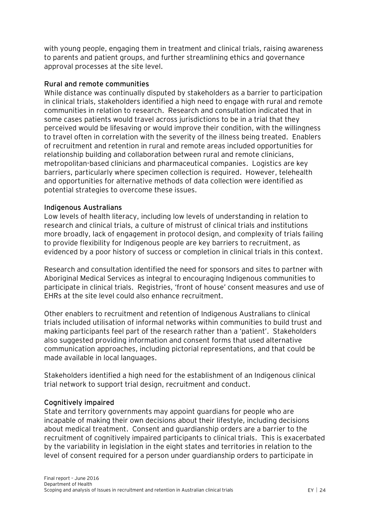with young people, engaging them in treatment and clinical trials, raising awareness to parents and patient groups, and further streamlining ethics and governance approval processes at the site level.

#### **Rural and remote communities**

While distance was continually disputed by stakeholders as a barrier to participation in clinical trials, stakeholders identified a high need to engage with rural and remote communities in relation to research. Research and consultation indicated that in some cases patients would travel across jurisdictions to be in a trial that they perceived would be lifesaving or would improve their condition, with the willingness to travel often in correlation with the severity of the illness being treated. Enablers of recruitment and retention in rural and remote areas included opportunities for relationship building and collaboration between rural and remote clinicians, metropolitan-based clinicians and pharmaceutical companies. Logistics are key barriers, particularly where specimen collection is required. However, telehealth and opportunities for alternative methods of data collection were identified as potential strategies to overcome these issues.

#### **Indigenous Australians**

Low levels of health literacy, including low levels of understanding in relation to research and clinical trials, a culture of mistrust of clinical trials and institutions more broadly, lack of engagement in protocol design, and complexity of trials failing to provide flexibility for Indigenous people are key barriers to recruitment, as evidenced by a poor history of success or completion in clinical trials in this context.

Research and consultation identified the need for sponsors and sites to partner with Aboriginal Medical Services as integral to encouraging Indigenous communities to participate in clinical trials. Registries, 'front of house' consent measures and use of EHRs at the site level could also enhance recruitment.

Other enablers to recruitment and retention of Indigenous Australians to clinical trials included utilisation of informal networks within communities to build trust and making participants feel part of the research rather than a 'patient'. Stakeholders also suggested providing information and consent forms that used alternative communication approaches, including pictorial representations, and that could be made available in local languages.

Stakeholders identified a high need for the establishment of an Indigenous clinical trial network to support trial design, recruitment and conduct.

#### **Cognitively impaired**

State and territory governments may appoint guardians for people who are incapable of making their own decisions about their lifestyle, including decisions about medical treatment. Consent and guardianship orders are a barrier to the recruitment of cognitively impaired participants to clinical trials. This is exacerbated by the variability in legislation in the eight states and territories in relation to the level of consent required for a person under guardianship orders to participate in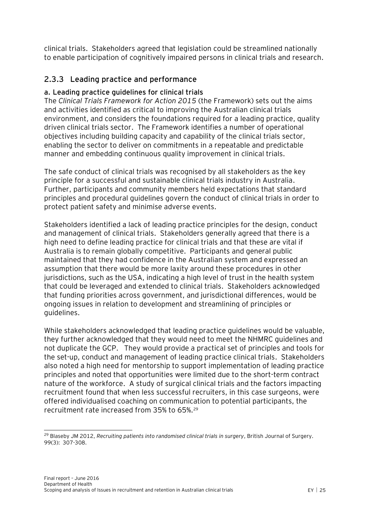clinical trials. Stakeholders agreed that legislation could be streamlined nationally to enable participation of cognitively impaired persons in clinical trials and research.

## <span id="page-25-0"></span>**2.3.3 Leading practice and performance**

### **a. Leading practice guidelines for clinical trials**

The *Clinical Trials Framework for Action 2015* (the Framework) sets out the aims and activities identified as critical to improving the Australian clinical trials environment, and considers the foundations required for a leading practice, quality driven clinical trials sector. The Framework identifies a number of operational objectives including building capacity and capability of the clinical trials sector, enabling the sector to deliver on commitments in a repeatable and predictable manner and embedding continuous quality improvement in clinical trials.

The safe conduct of clinical trials was recognised by all stakeholders as the key principle for a successful and sustainable clinical trials industry in Australia. Further, participants and community members held expectations that standard principles and procedural guidelines govern the conduct of clinical trials in order to protect patient safety and minimise adverse events.

Stakeholders identified a lack of leading practice principles for the design, conduct and management of clinical trials. Stakeholders generally agreed that there is a high need to define leading practice for clinical trials and that these are vital if Australia is to remain globally competitive. Participants and general public maintained that they had confidence in the Australian system and expressed an assumption that there would be more laxity around these procedures in other jurisdictions, such as the USA, indicating a high level of trust in the health system that could be leveraged and extended to clinical trials. Stakeholders acknowledged that funding priorities across government, and jurisdictional differences, would be ongoing issues in relation to development and streamlining of principles or guidelines.

While stakeholders acknowledged that leading practice guidelines would be valuable, they further acknowledged that they would need to meet the NHMRC guidelines and not duplicate the GCP. They would provide a practical set of principles and tools for the set-up, conduct and management of leading practice clinical trials. Stakeholders also noted a high need for mentorship to support implementation of leading practice principles and noted that opportunities were limited due to the short-term contract nature of the workforce. A study of surgical clinical trials and the factors impacting recruitment found that when less successful recruiters, in this case surgeons, were offered individualised coaching on communication to potential participants, the recruitment rate increased from 35% to 65%.<sup>29</sup>

 $\overline{a}$ 

<sup>29</sup> Blaseby JM 2012, *Recruiting patients into randomised clinical trials in surgery*, British Journal of Surgery. 99(3): 307-308.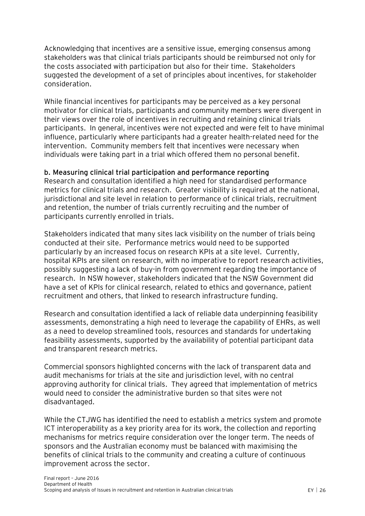Acknowledging that incentives are a sensitive issue, emerging consensus among stakeholders was that clinical trials participants should be reimbursed not only for the costs associated with participation but also for their time. Stakeholders suggested the development of a set of principles about incentives, for stakeholder consideration.

While financial incentives for participants may be perceived as a key personal motivator for clinical trials, participants and community members were divergent in their views over the role of incentives in recruiting and retaining clinical trials participants. In general, incentives were not expected and were felt to have minimal influence, particularly where participants had a greater health-related need for the intervention. Community members felt that incentives were necessary when individuals were taking part in a trial which offered them no personal benefit.

#### **b. Measuring clinical trial participation and performance reporting**

Research and consultation identified a high need for standardised performance metrics for clinical trials and research. Greater visibility is required at the national, jurisdictional and site level in relation to performance of clinical trials, recruitment and retention, the number of trials currently recruiting and the number of participants currently enrolled in trials.

Stakeholders indicated that many sites lack visibility on the number of trials being conducted at their site. Performance metrics would need to be supported particularly by an increased focus on research KPIs at a site level. Currently, hospital KPIs are silent on research, with no imperative to report research activities, possibly suggesting a lack of buy-in from government regarding the importance of research. In NSW however, stakeholders indicated that the NSW Government did have a set of KPIs for clinical research, related to ethics and governance, patient recruitment and others, that linked to research infrastructure funding.

Research and consultation identified a lack of reliable data underpinning feasibility assessments, demonstrating a high need to leverage the capability of EHRs, as well as a need to develop streamlined tools, resources and standards for undertaking feasibility assessments, supported by the availability of potential participant data and transparent research metrics.

Commercial sponsors highlighted concerns with the lack of transparent data and audit mechanisms for trials at the site and jurisdiction level, with no central approving authority for clinical trials. They agreed that implementation of metrics would need to consider the administrative burden so that sites were not disadvantaged.

While the CTJWG has identified the need to establish a metrics system and promote ICT interoperability as a key priority area for its work, the collection and reporting mechanisms for metrics require consideration over the longer term. The needs of sponsors and the Australian economy must be balanced with maximising the benefits of clinical trials to the community and creating a culture of continuous improvement across the sector.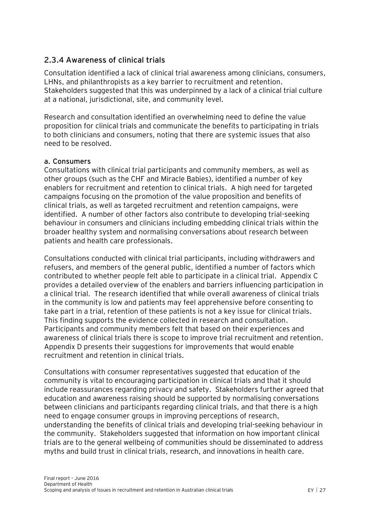## <span id="page-27-0"></span>**2.3.4 Awareness of clinical trials**

Consultation identified a lack of clinical trial awareness among clinicians, consumers, LHNs, and philanthropists as a key barrier to recruitment and retention. Stakeholders suggested that this was underpinned by a lack of a clinical trial culture at a national, jurisdictional, site, and community level.

Research and consultation identified an overwhelming need to define the value proposition for clinical trials and communicate the benefits to participating in trials to both clinicians and consumers, noting that there are systemic issues that also need to be resolved.

#### **a. Consumers**

Consultations with clinical trial participants and community members, as well as other groups (such as the CHF and Miracle Babies), identified a number of key enablers for recruitment and retention to clinical trials. A high need for targeted campaigns focusing on the promotion of the value proposition and benefits of clinical trials, as well as targeted recruitment and retention campaigns, were identified. A number of other factors also contribute to developing trial-seeking behaviour in consumers and clinicians including embedding clinical trials within the broader healthy system and normalising conversations about research between patients and health care professionals.

Consultations conducted with clinical trial participants, including withdrawers and refusers, and members of the general public, identified a number of factors which contributed to whether people felt able to participate in a clinical trial. Appendix C provides a detailed overview of the enablers and barriers influencing participation in a clinical trial. The research identified that while overall awareness of clinical trials in the community is low and patients may feel apprehensive before consenting to take part in a trial, retention of these patients is not a key issue for clinical trials. This finding supports the evidence collected in research and consultation. Participants and community members felt that based on their experiences and awareness of clinical trials there is scope to improve trial recruitment and retention. Appendix D presents their suggestions for improvements that would enable recruitment and retention in clinical trials.

Consultations with consumer representatives suggested that education of the community is vital to encouraging participation in clinical trials and that it should include reassurances regarding privacy and safety. Stakeholders further agreed that education and awareness raising should be supported by normalising conversations between clinicians and participants regarding clinical trials, and that there is a high need to engage consumer groups in improving perceptions of research, understanding the benefits of clinical trials and developing trial-seeking behaviour in the community. Stakeholders suggested that information on how important clinical trials are to the general wellbeing of communities should be disseminated to address myths and build trust in clinical trials, research, and innovations in health care.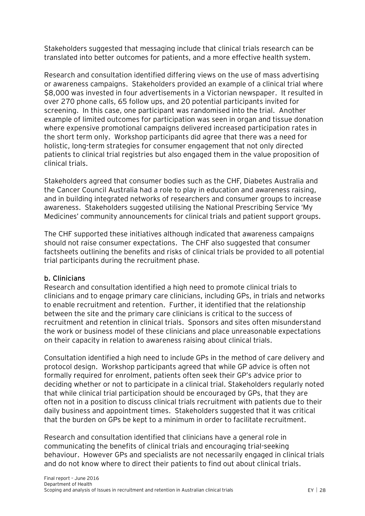Stakeholders suggested that messaging include that clinical trials research can be translated into better outcomes for patients, and a more effective health system.

Research and consultation identified differing views on the use of mass advertising or awareness campaigns. Stakeholders provided an example of a clinical trial where \$8,000 was invested in four advertisements in a Victorian newspaper. It resulted in over 270 phone calls, 65 follow ups, and 20 potential participants invited for screening. In this case, one participant was randomised into the trial. Another example of limited outcomes for participation was seen in organ and tissue donation where expensive promotional campaigns delivered increased participation rates in the short term only. Workshop participants did agree that there was a need for holistic, long-term strategies for consumer engagement that not only directed patients to clinical trial registries but also engaged them in the value proposition of clinical trials.

Stakeholders agreed that consumer bodies such as the CHF, Diabetes Australia and the Cancer Council Australia had a role to play in education and awareness raising, and in building integrated networks of researchers and consumer groups to increase awareness. Stakeholders suggested utilising the National Prescribing Service 'My Medicines' community announcements for clinical trials and patient support groups.

The CHF supported these initiatives although indicated that awareness campaigns should not raise consumer expectations. The CHF also suggested that consumer factsheets outlining the benefits and risks of clinical trials be provided to all potential trial participants during the recruitment phase.

#### **b. Clinicians**

Research and consultation identified a high need to promote clinical trials to clinicians and to engage primary care clinicians, including GPs, in trials and networks to enable recruitment and retention. Further, it identified that the relationship between the site and the primary care clinicians is critical to the success of recruitment and retention in clinical trials. Sponsors and sites often misunderstand the work or business model of these clinicians and place unreasonable expectations on their capacity in relation to awareness raising about clinical trials.

Consultation identified a high need to include GPs in the method of care delivery and protocol design. Workshop participants agreed that while GP advice is often not formally required for enrolment, patients often seek their GP's advice prior to deciding whether or not to participate in a clinical trial. Stakeholders regularly noted that while clinical trial participation should be encouraged by GPs, that they are often not in a position to discuss clinical trials recruitment with patients due to their daily business and appointment times. Stakeholders suggested that it was critical that the burden on GPs be kept to a minimum in order to facilitate recruitment.

Research and consultation identified that clinicians have a general role in communicating the benefits of clinical trials and encouraging trial-seeking behaviour. However GPs and specialists are not necessarily engaged in clinical trials and do not know where to direct their patients to find out about clinical trials.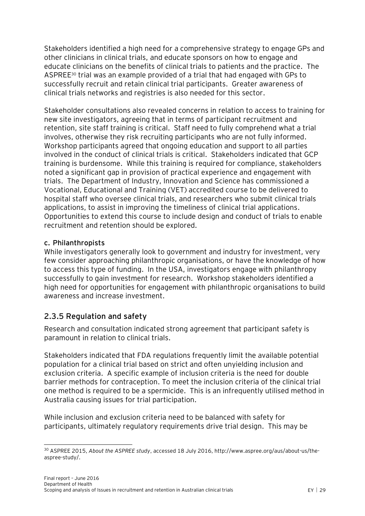Stakeholders identified a high need for a comprehensive strategy to engage GPs and other clinicians in clinical trials, and educate sponsors on how to engage and educate clinicians on the benefits of clinical trials to patients and the practice. The ASPREE<sup>30</sup> trial was an example provided of a trial that had engaged with GPs to successfully recruit and retain clinical trial participants. Greater awareness of clinical trials networks and registries is also needed for this sector.

Stakeholder consultations also revealed concerns in relation to access to training for new site investigators, agreeing that in terms of participant recruitment and retention, site staff training is critical. Staff need to fully comprehend what a trial involves, otherwise they risk recruiting participants who are not fully informed. Workshop participants agreed that ongoing education and support to all parties involved in the conduct of clinical trials is critical. Stakeholders indicated that GCP training is burdensome. While this training is required for compliance, stakeholders noted a significant gap in provision of practical experience and engagement with trials. The Department of Industry, Innovation and Science has commissioned a Vocational, Educational and Training (VET) accredited course to be delivered to hospital staff who oversee clinical trials, and researchers who submit clinical trials applications, to assist in improving the timeliness of clinical trial applications. Opportunities to extend this course to include design and conduct of trials to enable recruitment and retention should be explored.

#### **c. Philanthropists**

While investigators generally look to government and industry for investment, very few consider approaching philanthropic organisations, or have the knowledge of how to access this type of funding. In the USA, investigators engage with philanthropy successfully to gain investment for research. Workshop stakeholders identified a high need for opportunities for engagement with philanthropic organisations to build awareness and increase investment.

## <span id="page-29-0"></span>**2.3.5 Regulation and safety**

Research and consultation indicated strong agreement that participant safety is paramount in relation to clinical trials.

Stakeholders indicated that FDA regulations frequently limit the available potential population for a clinical trial based on strict and often unyielding inclusion and exclusion criteria. A specific example of inclusion criteria is the need for double barrier methods for contraception. To meet the inclusion criteria of the clinical trial one method is required to be a spermicide. This is an infrequently utilised method in Australia causing issues for trial participation.

While inclusion and exclusion criteria need to be balanced with safety for participants, ultimately regulatory requirements drive trial design. This may be

 $\overline{a}$ <sup>30</sup> ASPREE 2015, *About the ASPREE study*, accessed 18 July 2016, http://www.aspree.org/aus/about-us/theaspree-study/.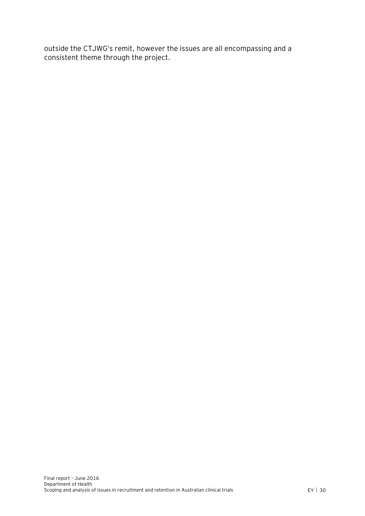outside the CTJWG's remit, however the issues are all encompassing and a consistent theme through the project.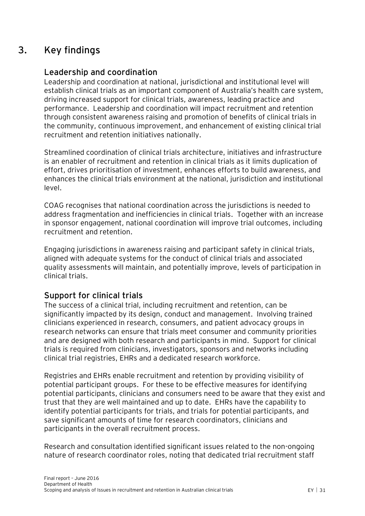## **3. Key findings**

## <span id="page-31-0"></span>**Leadership and coordination**

Leadership and coordination at national, jurisdictional and institutional level will establish clinical trials as an important component of Australia's health care system, driving increased support for clinical trials, awareness, leading practice and performance. Leadership and coordination will impact recruitment and retention through consistent awareness raising and promotion of benefits of clinical trials in the community, continuous improvement, and enhancement of existing clinical trial recruitment and retention initiatives nationally.

Streamlined coordination of clinical trials architecture, initiatives and infrastructure is an enabler of recruitment and retention in clinical trials as it limits duplication of effort, drives prioritisation of investment, enhances efforts to build awareness, and enhances the clinical trials environment at the national, jurisdiction and institutional level.

COAG recognises that national coordination across the jurisdictions is needed to address fragmentation and inefficiencies in clinical trials. Together with an increase in sponsor engagement, national coordination will improve trial outcomes, including recruitment and retention.

Engaging jurisdictions in awareness raising and participant safety in clinical trials, aligned with adequate systems for the conduct of clinical trials and associated quality assessments will maintain, and potentially improve, levels of participation in clinical trials.

## **Support for clinical trials**

The success of a clinical trial, including recruitment and retention, can be significantly impacted by its design, conduct and management. Involving trained clinicians experienced in research, consumers, and patient advocacy groups in research networks can ensure that trials meet consumer and community priorities and are designed with both research and participants in mind. Support for clinical trials is required from clinicians, investigators, sponsors and networks including clinical trial registries, EHRs and a dedicated research workforce.

Registries and EHRs enable recruitment and retention by providing visibility of potential participant groups. For these to be effective measures for identifying potential participants, clinicians and consumers need to be aware that they exist and trust that they are well maintained and up to date. EHRs have the capability to identify potential participants for trials, and trials for potential participants, and save significant amounts of time for research coordinators, clinicians and participants in the overall recruitment process.

Research and consultation identified significant issues related to the non-ongoing nature of research coordinator roles, noting that dedicated trial recruitment staff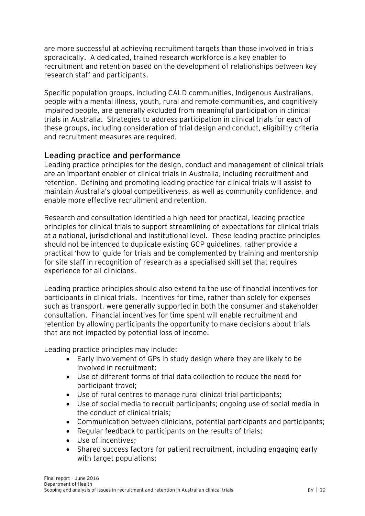are more successful at achieving recruitment targets than those involved in trials sporadically. A dedicated, trained research workforce is a key enabler to recruitment and retention based on the development of relationships between key research staff and participants.

Specific population groups, including CALD communities, Indigenous Australians, people with a mental illness, youth, rural and remote communities, and cognitively impaired people, are generally excluded from meaningful participation in clinical trials in Australia. Strategies to address participation in clinical trials for each of these groups, including consideration of trial design and conduct, eligibility criteria and recruitment measures are required.

## **Leading practice and performance**

Leading practice principles for the design, conduct and management of clinical trials are an important enabler of clinical trials in Australia, including recruitment and retention. Defining and promoting leading practice for clinical trials will assist to maintain Australia's global competitiveness, as well as community confidence, and enable more effective recruitment and retention.

Research and consultation identified a high need for practical, leading practice principles for clinical trials to support streamlining of expectations for clinical trials at a national, jurisdictional and institutional level. These leading practice principles should not be intended to duplicate existing GCP guidelines, rather provide a practical 'how to' guide for trials and be complemented by training and mentorship for site staff in recognition of research as a specialised skill set that requires experience for all clinicians.

Leading practice principles should also extend to the use of financial incentives for participants in clinical trials. Incentives for time, rather than solely for expenses such as transport, were generally supported in both the consumer and stakeholder consultation. Financial incentives for time spent will enable recruitment and retention by allowing participants the opportunity to make decisions about trials that are not impacted by potential loss of income.

Leading practice principles may include:

- Early involvement of GPs in study design where they are likely to be involved in recruitment;
- Use of different forms of trial data collection to reduce the need for participant travel;
- Use of rural centres to manage rural clinical trial participants;
- Use of social media to recruit participants; ongoing use of social media in the conduct of clinical trials;
- Communication between clinicians, potential participants and participants;
- Regular feedback to participants on the results of trials;
- Use of incentives;
- Shared success factors for patient recruitment, including engaging early with target populations;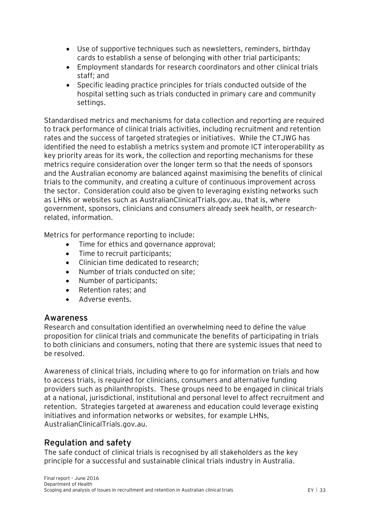- Use of supportive techniques such as newsletters, reminders, birthday cards to establish a sense of belonging with other trial participants;
- Employment standards for research coordinators and other clinical trials staff; and
- Specific leading practice principles for trials conducted outside of the hospital setting such as trials conducted in primary care and community settings.

Standardised metrics and mechanisms for data collection and reporting are required to track performance of clinical trials activities, including recruitment and retention rates and the success of targeted strategies or initiatives. While the CTJWG has identified the need to establish a metrics system and promote ICT interoperability as key priority areas for its work, the collection and reporting mechanisms for these metrics require consideration over the longer term so that the needs of sponsors and the Australian economy are balanced against maximising the benefits of clinical trials to the community, and creating a culture of continuous improvement across the sector. Consideration could also be given to leveraging existing networks such as LHNs or websites such as AustralianClinicalTrials.gov.au, that is, where government, sponsors, clinicians and consumers already seek health, or researchrelated, information.

Metrics for performance reporting to include:

- Time for ethics and governance approval;
- Time to recruit participants;
- Clinician time dedicated to research;
- Number of trials conducted on site:
- Number of participants;
- Retention rates; and
- Adverse events.

### **Awareness**

Research and consultation identified an overwhelming need to define the value proposition for clinical trials and communicate the benefits of participating in trials to both clinicians and consumers, noting that there are systemic issues that need to be resolved.

Awareness of clinical trials, including where to go for information on trials and how to access trials, is required for clinicians, consumers and alternative funding providers such as philanthropists. These groups need to be engaged in clinical trials at a national, jurisdictional, institutional and personal level to affect recruitment and retention. Strategies targeted at awareness and education could leverage existing initiatives and information networks or websites, for example LHNs, AustralianClinicalTrials.gov.au.

## **Regulation and safety**

The safe conduct of clinical trials is recognised by all stakeholders as the key principle for a successful and sustainable clinical trials industry in Australia.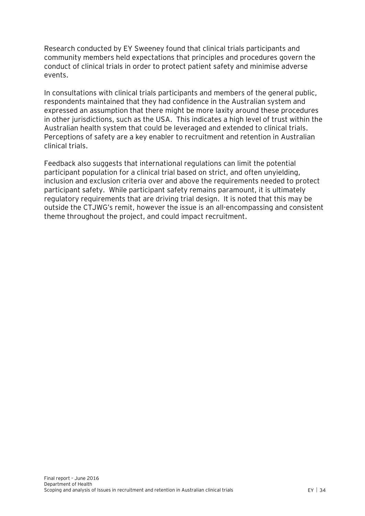Research conducted by EY Sweeney found that clinical trials participants and community members held expectations that principles and procedures govern the conduct of clinical trials in order to protect patient safety and minimise adverse events.

In consultations with clinical trials participants and members of the general public, respondents maintained that they had confidence in the Australian system and expressed an assumption that there might be more laxity around these procedures in other jurisdictions, such as the USA. This indicates a high level of trust within the Australian health system that could be leveraged and extended to clinical trials. Perceptions of safety are a key enabler to recruitment and retention in Australian clinical trials.

Feedback also suggests that international regulations can limit the potential participant population for a clinical trial based on strict, and often unyielding, inclusion and exclusion criteria over and above the requirements needed to protect participant safety. While participant safety remains paramount, it is ultimately regulatory requirements that are driving trial design. It is noted that this may be outside the CTJWG's remit, however the issue is an all-encompassing and consistent theme throughout the project, and could impact recruitment.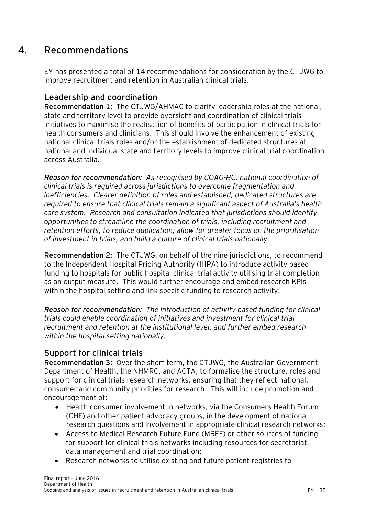## **4. Recommendations**

<span id="page-35-0"></span>EY has presented a total of 14 recommendations for consideration by the CTJWG to improve recruitment and retention in Australian clinical trials.

### **Leadership and coordination**

**Recommendation 1**: The CTJWG/AHMAC to clarify leadership roles at the national, state and territory level to provide oversight and coordination of clinical trials initiatives to maximise the realisation of benefits of participation in clinical trials for health consumers and clinicians. This should involve the enhancement of existing national clinical trials roles and/or the establishment of dedicated structures at national and individual state and territory levels to improve clinical trial coordination across Australia.

*Reason for recommendation: As recognised by COAG-HC, national coordination of clinical trials is required across jurisdictions to overcome fragmentation and inefficiencies. Clearer definition of roles and established, dedicated structures are required to ensure that clinical trials remain a significant aspect of Australia's health care system. Research and consultation indicated that jurisdictions should identify opportunities to streamline the coordination of trials, including recruitment and retention efforts, to reduce duplication, allow for greater focus on the prioritisation of investment in trials, and build a culture of clinical trials nationally.*

**Recommendation 2:** The CTJWG, on behalf of the nine jurisdictions, to recommend to the Independent Hospital Pricing Authority (IHPA) to introduce activity based funding to hospitals for public hospital clinical trial activity utilising trial completion as an output measure. This would further encourage and embed research KPIs within the hospital setting and link specific funding to research activity.

*Reason for recommendation: The introduction of activity based funding for clinical trials could enable coordination of initiatives and investment for clinical trial recruitment and retention at the institutional level, and further embed research within the hospital setting nationally.*

## **Support for clinical trials**

**Recommendation 3:** Over the short term, the CTJWG, the Australian Government Department of Health, the NHMRC, and ACTA, to formalise the structure, roles and support for clinical trials research networks, ensuring that they reflect national, consumer and community priorities for research. This will include promotion and encouragement of:

- Health consumer involvement in networks, via the Consumers Health Forum (CHF) and other patient advocacy groups, in the development of national research questions and involvement in appropriate clinical research networks;
- Access to Medical Research Future Fund (MRFF) or other sources of funding for support for clinical trials networks including resources for secretariat, data management and trial coordination;
- Research networks to utilise existing and future patient registries to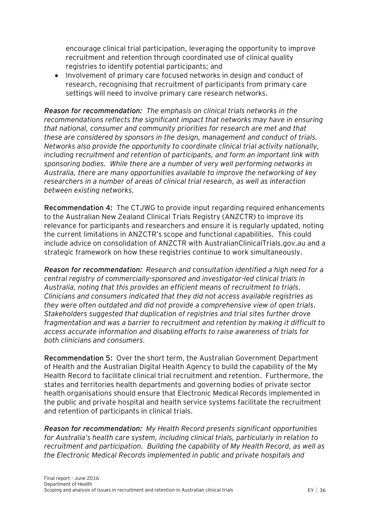encourage clinical trial participation, leveraging the opportunity to improve recruitment and retention through coordinated use of clinical quality registries to identify potential participants; and

• Involvement of primary care focused networks in design and conduct of research, recognising that recruitment of participants from primary care settings will need to involve primary care research networks.

*Reason for recommendation: The emphasis on clinical trials networks in the recommendations reflects the significant impact that networks may have in ensuring that national, consumer and community priorities for research are met and that these are considered by sponsors in the design, management and conduct of trials. Networks also provide the opportunity to coordinate clinical trial activity nationally, including recruitment and retention of participants, and form an important link with sponsoring bodies. While there are a number of very well performing networks in Australia, there are many opportunities available to improve the networking of key researchers in a number of areas of clinical trial research, as well as interaction between existing networks.*

**Recommendation 4:** The CTJWG to provide input regarding required enhancements to the Australian New Zealand Clinical Trials Registry (ANZCTR) to improve its relevance for participants and researchers and ensure it is regularly updated, noting the current limitations in ANZCTR's scope and functional capabilities. This could include advice on consolidation of ANZCTR with AustralianClinicalTrials.gov.au and a strategic framework on how these registries continue to work simultaneously.

*Reason for recommendation: Research and consultation identified a high need for a central registry of commercially-sponsored and investigator-led clinical trials in Australia, noting that this provides an efficient means of recruitment to trials. Clinicians and consumers indicated that they did not access available registries as they were often outdated and did not provide a comprehensive view of open trials. Stakeholders suggested that duplication of registries and trial sites further drove fragmentation and was a barrier to recruitment and retention by making it difficult to access accurate information and disabling efforts to raise awareness of trials for both clinicians and consumers.*

**Recommendation 5:** Over the short term, the Australian Government Department of Health and the Australian Digital Health Agency to build the capability of the My Health Record to facilitate clinical trial recruitment and retention. Furthermore, the states and territories health departments and governing bodies of private sector health organisations should ensure that Electronic Medical Records implemented in the public and private hospital and health service systems facilitate the recruitment and retention of participants in clinical trials.

*Reason for recommendation: My Health Record presents significant opportunities for Australia's health care system, including clinical trials, particularly in relation to recruitment and participation. Building the capability of My Health Record, as well as the Electronic Medical Records implemented in public and private hospitals and*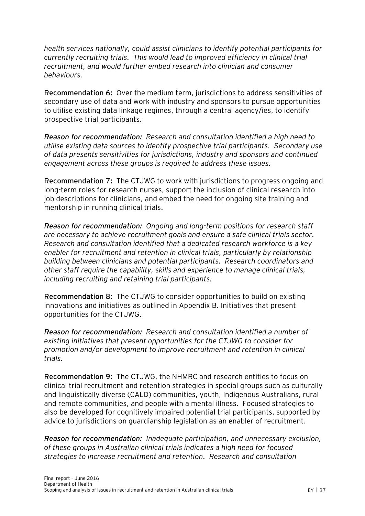*health services nationally, could assist clinicians to identify potential participants for currently recruiting trials. This would lead to improved efficiency in clinical trial recruitment, and would further embed research into clinician and consumer behaviours.*

**Recommendation 6:** Over the medium term, jurisdictions to address sensitivities of secondary use of data and work with industry and sponsors to pursue opportunities to utilise existing data linkage regimes, through a central agency/ies, to identify prospective trial participants.

*Reason for recommendation: Research and consultation identified a high need to utilise existing data sources to identify prospective trial participants. Secondary use of data presents sensitivities for jurisdictions, industry and sponsors and continued engagement across these groups is required to address these issues.* 

**Recommendation 7:** The CTJWG to work with jurisdictions to progress ongoing and long-term roles for research nurses, support the inclusion of clinical research into job descriptions for clinicians, and embed the need for ongoing site training and mentorship in running clinical trials.

*Reason for recommendation: Ongoing and long-term positions for research staff are necessary to achieve recruitment goals and ensure a safe clinical trials sector. Research and consultation identified that a dedicated research workforce is a key enabler for recruitment and retention in clinical trials, particularly by relationship building between clinicians and potential participants. Research coordinators and other staff require the capability, skills and experience to manage clinical trials, including recruiting and retaining trial participants.*

**Recommendation 8:** The CTJWG to consider opportunities to build on existing innovations and initiatives as outlined in Appendix B. Initiatives that present opportunities for the CTJWG.

*Reason for recommendation: Research and consultation identified a number of existing initiatives that present opportunities for the CTJWG to consider for promotion and/or development to improve recruitment and retention in clinical trials.*

**Recommendation 9:** The CTJWG, the NHMRC and research entities to focus on clinical trial recruitment and retention strategies in special groups such as culturally and linguistically diverse (CALD) communities, youth, Indigenous Australians, rural and remote communities, and people with a mental illness. Focused strategies to also be developed for cognitively impaired potential trial participants, supported by advice to jurisdictions on guardianship legislation as an enabler of recruitment.

*Reason for recommendation: Inadequate participation, and unnecessary exclusion, of these groups in Australian clinical trials indicates a high need for focused strategies to increase recruitment and retention. Research and consultation*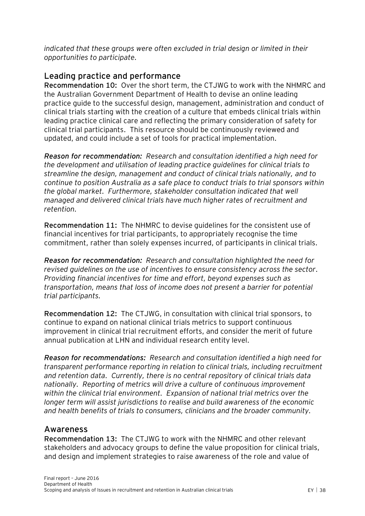*indicated that these groups were often excluded in trial design or limited in their opportunities to participate.*

## **Leading practice and performance**

**Recommendation 10:** Over the short term, the CTJWG to work with the NHMRC and the Australian Government Department of Health to devise an online leading practice guide to the successful design, management, administration and conduct of clinical trials starting with the creation of a culture that embeds clinical trials within leading practice clinical care and reflecting the primary consideration of safety for clinical trial participants. This resource should be continuously reviewed and updated, and could include a set of tools for practical implementation.

*Reason for recommendation: Research and consultation identified a high need for the development and utilisation of leading practice guidelines for clinical trials to streamline the design, management and conduct of clinical trials nationally, and to continue to position Australia as a safe place to conduct trials to trial sponsors within the global market. Furthermore, stakeholder consultation indicated that well managed and delivered clinical trials have much higher rates of recruitment and retention.*

**Recommendation 11:** The NHMRC to devise guidelines for the consistent use of financial incentives for trial participants, to appropriately recognise the time commitment, rather than solely expenses incurred, of participants in clinical trials.

*Reason for recommendation: Research and consultation highlighted the need for revised guidelines on the use of incentives to ensure consistency across the sector. Providing financial incentives for time and effort, beyond expenses such as transportation, means that loss of income does not present a barrier for potential trial participants.* 

**Recommendation 12:** The CTJWG, in consultation with clinical trial sponsors, to continue to expand on national clinical trials metrics to support continuous improvement in clinical trial recruitment efforts, and consider the merit of future annual publication at LHN and individual research entity level.

*Reason for recommendations: Research and consultation identified a high need for transparent performance reporting in relation to clinical trials, including recruitment and retention data. Currently, there is no central repository of clinical trials data nationally. Reporting of metrics will drive a culture of continuous improvement within the clinical trial environment. Expansion of national trial metrics over the longer term will assist jurisdictions to realise and build awareness of the economic and health benefits of trials to consumers, clinicians and the broader community.* 

### **Awareness**

**Recommendation 13:** The CTJWG to work with the NHMRC and other relevant stakeholders and advocacy groups to define the value proposition for clinical trials, and design and implement strategies to raise awareness of the role and value of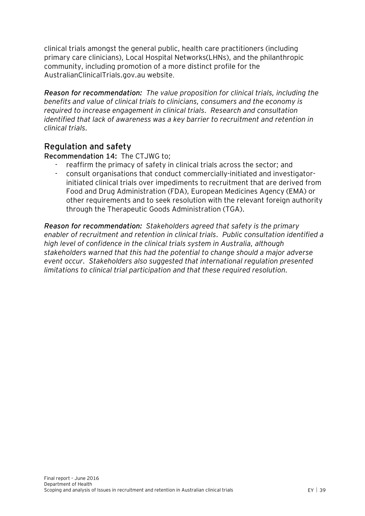clinical trials amongst the general public, health care practitioners (including primary care clinicians), Local Hospital Networks(LHNs), and the philanthropic community, including promotion of a more distinct profile for the AustralianClinicalTrials.gov.au website.

*Reason for recommendation: The value proposition for clinical trials, including the benefits and value of clinical trials to clinicians, consumers and the economy is required to increase engagement in clinical trials. Research and consultation identified that lack of awareness was a key barrier to recruitment and retention in clinical trials.*

## **Regulation and safety**

#### **Recommendation 14:** The CTJWG to;

- reaffirm the primacy of safety in clinical trials across the sector; and
- consult organisations that conduct commercially-initiated and investigatorinitiated clinical trials over impediments to recruitment that are derived from Food and Drug Administration (FDA), European Medicines Agency (EMA) or other requirements and to seek resolution with the relevant foreign authority through the Therapeutic Goods Administration (TGA).

*Reason for recommendation: Stakeholders agreed that safety is the primary enabler of recruitment and retention in clinical trials. Public consultation identified a high level of confidence in the clinical trials system in Australia, although stakeholders warned that this had the potential to change should a major adverse event occur. Stakeholders also suggested that international regulation presented limitations to clinical trial participation and that these required resolution.*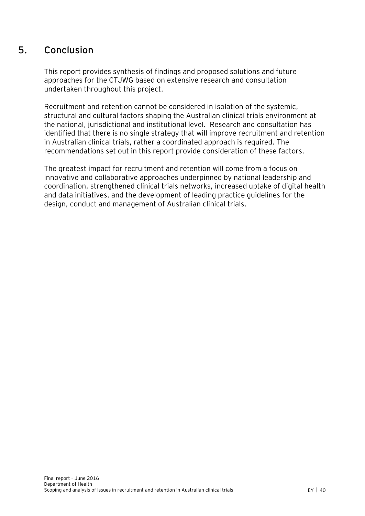## **5. Conclusion**

<span id="page-40-0"></span>This report provides synthesis of findings and proposed solutions and future approaches for the CTJWG based on extensive research and consultation undertaken throughout this project.

Recruitment and retention cannot be considered in isolation of the systemic, structural and cultural factors shaping the Australian clinical trials environment at the national, jurisdictional and institutional level. Research and consultation has identified that there is no single strategy that will improve recruitment and retention in Australian clinical trials, rather a coordinated approach is required. The recommendations set out in this report provide consideration of these factors.

The greatest impact for recruitment and retention will come from a focus on innovative and collaborative approaches underpinned by national leadership and coordination, strengthened clinical trials networks, increased uptake of digital health and data initiatives, and the development of leading practice guidelines for the design, conduct and management of Australian clinical trials.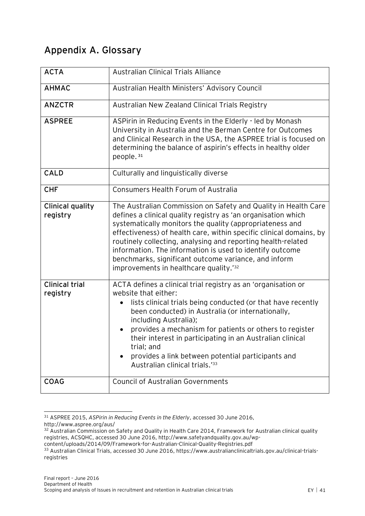## <span id="page-41-0"></span>**Appendix A. Glossary**

| <b>ACTA</b>                       | <b>Australian Clinical Trials Alliance</b>                                                                                                                                                                                                                                                                                                                                                                                                                                                                   |
|-----------------------------------|--------------------------------------------------------------------------------------------------------------------------------------------------------------------------------------------------------------------------------------------------------------------------------------------------------------------------------------------------------------------------------------------------------------------------------------------------------------------------------------------------------------|
| <b>AHMAC</b>                      | Australian Health Ministers' Advisory Council                                                                                                                                                                                                                                                                                                                                                                                                                                                                |
| <b>ANZCTR</b>                     | Australian New Zealand Clinical Trials Registry                                                                                                                                                                                                                                                                                                                                                                                                                                                              |
| <b>ASPREE</b>                     | ASPirin in Reducing Events in the Elderly - led by Monash<br>University in Australia and the Berman Centre for Outcomes<br>and Clinical Research in the USA, the ASPREE trial is focused on<br>determining the balance of aspirin's effects in healthy older<br>people. <sup>31</sup>                                                                                                                                                                                                                        |
| <b>CALD</b>                       | Culturally and linguistically diverse                                                                                                                                                                                                                                                                                                                                                                                                                                                                        |
| <b>CHF</b>                        | <b>Consumers Health Forum of Australia</b>                                                                                                                                                                                                                                                                                                                                                                                                                                                                   |
| Clinical quality<br>registry      | The Australian Commission on Safety and Quality in Health Care<br>defines a clinical quality registry as 'an organisation which<br>systematically monitors the quality (appropriateness and<br>effectiveness) of health care, within specific clinical domains, by<br>routinely collecting, analysing and reporting health-related<br>information. The information is used to identify outcome<br>benchmarks, significant outcome variance, and inform<br>improvements in healthcare quality. <sup>'32</sup> |
| <b>Clinical trial</b><br>registry | ACTA defines a clinical trial registry as an 'organisation or<br>website that either:<br>lists clinical trials being conducted (or that have recently<br>been conducted) in Australia (or internationally,<br>including Australia);<br>provides a mechanism for patients or others to register<br>their interest in participating in an Australian clinical<br>trial; and<br>provides a link between potential participants and<br>Australian clinical trials. <sup>133</sup>                                |
| <b>COAG</b>                       | <b>Council of Australian Governments</b>                                                                                                                                                                                                                                                                                                                                                                                                                                                                     |

 $\overline{a}$ <sup>31</sup> ASPREE 2015, *ASPirin in Reducing Events in the Elderly*, accessed 30 June 2016, http://www.aspree.org/aus/

<sup>32</sup> Australian Commission on Safety and Quality in Health Care 2014, Framework for Australian clinical quality registries, ACSQHC, accessed 30 June 2016, http://www.safetyandquality.gov.au/wp-

content/uploads/2014/09/Framework-for-Australian-Clinical-Quality-Registries.pdf

<sup>33</sup> Australian Clinical Trials, accessed 30 June 2016, https://www.australianclinicaltrials.gov.au/clinical-trialsregistries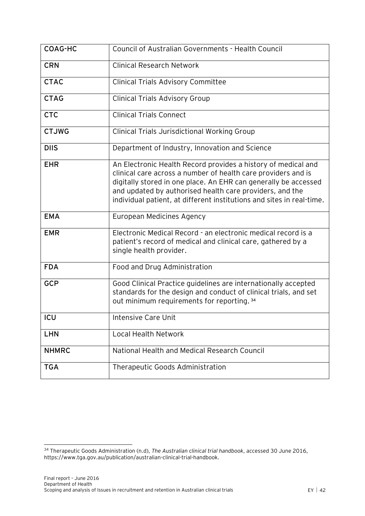| COAG-HC      | Council of Australian Governments - Health Council                                                                                                                                                                                                                                                                                     |
|--------------|----------------------------------------------------------------------------------------------------------------------------------------------------------------------------------------------------------------------------------------------------------------------------------------------------------------------------------------|
| <b>CRN</b>   | <b>Clinical Research Network</b>                                                                                                                                                                                                                                                                                                       |
| <b>CTAC</b>  | <b>Clinical Trials Advisory Committee</b>                                                                                                                                                                                                                                                                                              |
| <b>CTAG</b>  | <b>Clinical Trials Advisory Group</b>                                                                                                                                                                                                                                                                                                  |
| <b>CTC</b>   | Clinical Trials Connect                                                                                                                                                                                                                                                                                                                |
| <b>CTJWG</b> | Clinical Trials Jurisdictional Working Group                                                                                                                                                                                                                                                                                           |
| <b>DIIS</b>  | Department of Industry, Innovation and Science                                                                                                                                                                                                                                                                                         |
| <b>EHR</b>   | An Electronic Health Record provides a history of medical and<br>clinical care across a number of health care providers and is<br>digitally stored in one place. An EHR can generally be accessed<br>and updated by authorised health care providers, and the<br>individual patient, at different institutions and sites in real-time. |
| <b>EMA</b>   | European Medicines Agency                                                                                                                                                                                                                                                                                                              |
| <b>EMR</b>   | Electronic Medical Record - an electronic medical record is a<br>patient's record of medical and clinical care, gathered by a<br>single health provider.                                                                                                                                                                               |
| <b>FDA</b>   | Food and Drug Administration                                                                                                                                                                                                                                                                                                           |
| <b>GCP</b>   | Good Clinical Practice guidelines are internationally accepted<br>standards for the design and conduct of clinical trials, and set<br>out minimum requirements for reporting. 34                                                                                                                                                       |
| ICU          | Intensive Care Unit                                                                                                                                                                                                                                                                                                                    |
| <b>LHN</b>   | <b>Local Health Network</b>                                                                                                                                                                                                                                                                                                            |
| <b>NHMRC</b> | National Health and Medical Research Council                                                                                                                                                                                                                                                                                           |
| <b>TGA</b>   | Therapeutic Goods Administration                                                                                                                                                                                                                                                                                                       |

 $\overline{a}$ <sup>34</sup> Therapeutic Goods Administration (n.d), *The Australian clinical trial handbook*, accessed 30 June 2016, https://www.tga.gov.au/publication/australian-clinical-trial-handbook.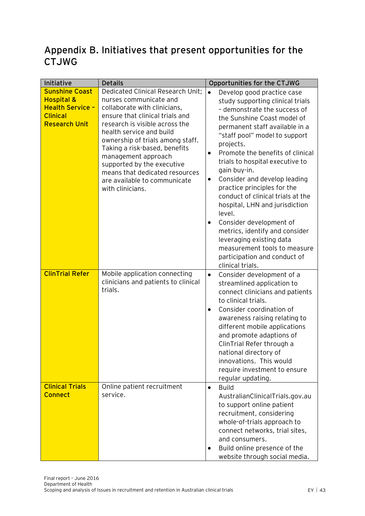## <span id="page-43-0"></span>**Appendix B. Initiatives that present opportunities for the CTJWG**

| Initiative                                                                                                           | <b>Details</b>                                                                                                                                                                                                                           | Opportunities for the CTJWG                                                                                                                                                                                                                                                                                                                                                                                                                                                                                                             |
|----------------------------------------------------------------------------------------------------------------------|------------------------------------------------------------------------------------------------------------------------------------------------------------------------------------------------------------------------------------------|-----------------------------------------------------------------------------------------------------------------------------------------------------------------------------------------------------------------------------------------------------------------------------------------------------------------------------------------------------------------------------------------------------------------------------------------------------------------------------------------------------------------------------------------|
| <b>Sunshine Coast</b><br><b>Hospital &amp;</b><br><b>Health Service -</b><br><b>Clinical</b><br><b>Research Unit</b> | Dedicated Clinical Research Unit;<br>nurses communicate and<br>collaborate with clinicians,<br>ensure that clinical trials and<br>research is visible across the                                                                         | $\bullet$<br>Develop good practice case<br>study supporting clinical trials<br>- demonstrate the success of<br>the Sunshine Coast model of                                                                                                                                                                                                                                                                                                                                                                                              |
|                                                                                                                      | health service and build<br>ownership of trials among staff.<br>Taking a risk-based, benefits<br>management approach<br>supported by the executive<br>means that dedicated resources<br>are available to communicate<br>with clinicians. | permanent staff available in a<br>"staff pool" model to support<br>projects.<br>Promote the benefits of clinical<br>$\bullet$<br>trials to hospital executive to<br>gain buy-in.<br>Consider and develop leading<br>$\bullet$<br>practice principles for the<br>conduct of clinical trials at the<br>hospital, LHN and jurisdiction<br>level.<br>Consider development of<br>$\bullet$<br>metrics, identify and consider<br>leveraging existing data<br>measurement tools to measure<br>participation and conduct of<br>clinical trials. |
| <b>ClinTrial Refer</b>                                                                                               | Mobile application connecting<br>clinicians and patients to clinical<br>trials.                                                                                                                                                          | Consider development of a<br>$\bullet$<br>streamlined application to<br>connect clinicians and patients<br>to clinical trials.<br>Consider coordination of<br>$\bullet$<br>awareness raising relating to<br>different mobile applications<br>and promote adaptions of<br>ClinTrial Refer through a<br>national directory of<br>innovations. This would<br>require investment to ensure<br>regular updating.                                                                                                                             |
| <b>Clinical Trials</b><br><b>Connect</b>                                                                             | Online patient recruitment<br>service.                                                                                                                                                                                                   | <b>Build</b><br>$\bullet$<br>AustralianClinicalTrials.gov.au<br>to support online patient<br>recruitment, considering<br>whole-of-trials approach to<br>connect networks, trial sites,<br>and consumers.<br>Build online presence of the<br>website through social media.                                                                                                                                                                                                                                                               |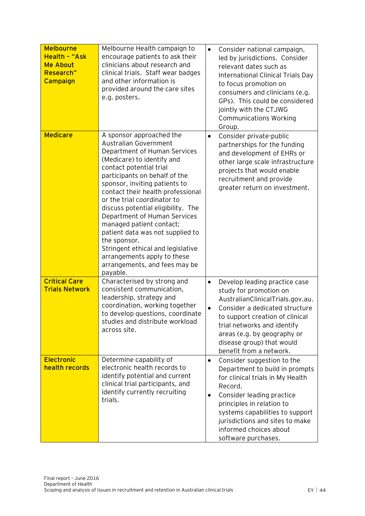| <b>Melbourne</b><br>Health - "Ask<br><b>Me About</b><br>Research"<br>Campaign | Melbourne Health campaign to<br>encourage patients to ask their<br>clinicians about research and<br>clinical trials. Staff wear badges<br>and other information is<br>provided around the care sites<br>e.g. posters.                                                                                                                                                                                                                                                                                                                                          | $\bullet$              | Consider national campaign,<br>led by jurisdictions. Consider<br>relevant dates such as<br>International Clinical Trials Day<br>to focus promotion on<br>consumers and clinicians (e.g.<br>GPs). This could be considered<br>jointly with the CTJWG<br><b>Communications Working</b><br>Group. |
|-------------------------------------------------------------------------------|----------------------------------------------------------------------------------------------------------------------------------------------------------------------------------------------------------------------------------------------------------------------------------------------------------------------------------------------------------------------------------------------------------------------------------------------------------------------------------------------------------------------------------------------------------------|------------------------|------------------------------------------------------------------------------------------------------------------------------------------------------------------------------------------------------------------------------------------------------------------------------------------------|
| <b>Medicare</b>                                                               | A sponsor approached the<br><b>Australian Government</b><br>Department of Human Services<br>(Medicare) to identify and<br>contact potential trial<br>participants on behalf of the<br>sponsor, inviting patients to<br>contact their health professional<br>or the trial coordinator to<br>discuss potential eligibility. The<br>Department of Human Services<br>managed patient contact;<br>patient data was not supplied to<br>the sponsor.<br>Stringent ethical and legislative<br>arrangements apply to these<br>arrangements, and fees may be<br>payable. | $\bullet$              | Consider private-public<br>partnerships for the funding<br>and development of EHRs or<br>other large scale infrastructure<br>projects that would enable<br>recruitment and provide<br>greater return on investment.                                                                            |
| <b>Critical Care</b><br><b>Trials Network</b>                                 | Characterised by strong and<br>consistent communication,<br>leadership, strategy and<br>coordination, working together<br>to develop questions, coordinate<br>studies and distribute workload<br>across site.                                                                                                                                                                                                                                                                                                                                                  | $\bullet$<br>$\bullet$ | Develop leading practice case<br>study for promotion on<br>AustralianClinicalTrials.gov.au.<br>Consider a dedicated structure<br>to support creation of clinical<br>trial networks and identify<br>areas (e.g. by geography or<br>disease group) that would<br>benefit from a network.         |
| <b>Electronic</b><br>health records                                           | Determine capability of<br>electronic health records to<br>identify potential and current<br>clinical trial participants, and<br>identify currently recruiting<br>trials.                                                                                                                                                                                                                                                                                                                                                                                      | $\bullet$<br>$\bullet$ | Consider suggestion to the<br>Department to build in prompts<br>for clinical trials in My Health<br>Record.<br>Consider leading practice<br>principles in relation to<br>systems capabilities to support<br>jurisdictions and sites to make<br>informed choices about<br>software purchases.   |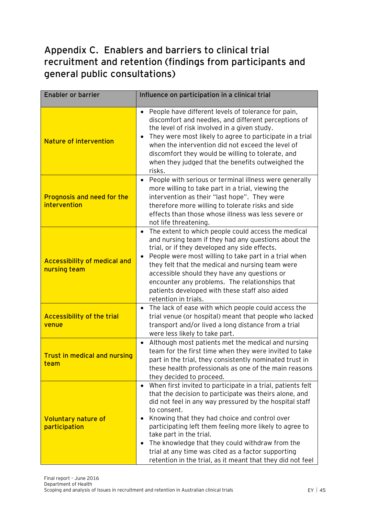## <span id="page-45-0"></span>**Appendix C. Enablers and barriers to clinical trial recruitment and retention (findings from participants and general public consultations)**

| <b>Enabler or barrier</b>                           | Influence on participation in a clinical trial                                                                                                                                                                                                                                                                                                                                                                                                                                                                                       |
|-----------------------------------------------------|--------------------------------------------------------------------------------------------------------------------------------------------------------------------------------------------------------------------------------------------------------------------------------------------------------------------------------------------------------------------------------------------------------------------------------------------------------------------------------------------------------------------------------------|
| <b>Nature of intervention</b>                       | People have different levels of tolerance for pain,<br>$\bullet$<br>discomfort and needles, and different perceptions of<br>the level of risk involved in a given study.<br>They were most likely to agree to participate in a trial<br>$\bullet$<br>when the intervention did not exceed the level of<br>discomfort they would be willing to tolerate, and<br>when they judged that the benefits outweighed the<br>risks.                                                                                                           |
| Prognosis and need for the<br>intervention          | People with serious or terminal illness were generally<br>$\bullet$<br>more willing to take part in a trial, viewing the<br>intervention as their "last hope". They were<br>therefore more willing to tolerate risks and side<br>effects than those whose illness was less severe or<br>not life threatening.                                                                                                                                                                                                                        |
| <b>Accessibility of medical and</b><br>nursing team | The extent to which people could access the medical<br>$\bullet$<br>and nursing team if they had any questions about the<br>trial, or if they developed any side effects.<br>People were most willing to take part in a trial when<br>$\bullet$<br>they felt that the medical and nursing team were<br>accessible should they have any questions or<br>encounter any problems. The relationships that<br>patients developed with these staff also aided<br>retention in trials.                                                      |
| <b>Accessibility of the trial</b><br>venue          | The lack of ease with which people could access the<br>$\bullet$<br>trial venue (or hospital) meant that people who lacked<br>transport and/or lived a long distance from a trial<br>were less likely to take part.                                                                                                                                                                                                                                                                                                                  |
| <b>Trust in medical and nursing</b><br>team         | Although most patients met the medical and nursing<br>$\bullet$<br>team for the first time when they were invited to take<br>part in the trial, they consistently nominated trust in<br>these health professionals as one of the main reasons<br>they decided to proceed.                                                                                                                                                                                                                                                            |
| <b>Voluntary nature of</b><br>participation         | When first invited to participate in a trial, patients felt<br>$\bullet$<br>that the decision to participate was theirs alone, and<br>did not feel in any way pressured by the hospital staff<br>to consent.<br>Knowing that they had choice and control over<br>٠<br>participating left them feeling more likely to agree to<br>take part in the trial.<br>The knowledge that they could withdraw from the<br>٠<br>trial at any time was cited as a factor supporting<br>retention in the trial, as it meant that they did not feel |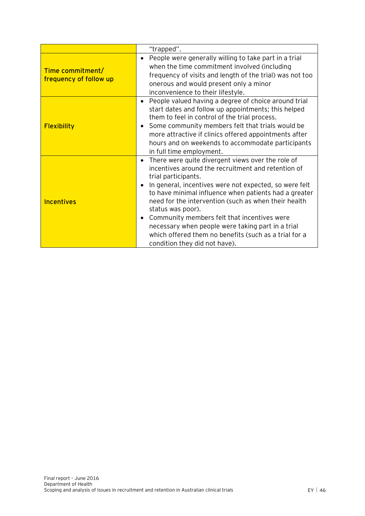|                                            | "trapped".                                                                                                                                                                                                                                                                                                                                                                                                                                                                                                                                                          |
|--------------------------------------------|---------------------------------------------------------------------------------------------------------------------------------------------------------------------------------------------------------------------------------------------------------------------------------------------------------------------------------------------------------------------------------------------------------------------------------------------------------------------------------------------------------------------------------------------------------------------|
| Time commitment/<br>frequency of follow up | People were generally willing to take part in a trial<br>$\bullet$<br>when the time commitment involved (including<br>frequency of visits and length of the trial) was not too<br>onerous and would present only a minor<br>inconvenience to their lifestyle.                                                                                                                                                                                                                                                                                                       |
| <b>Flexibility</b>                         | People valued having a degree of choice around trial<br>$\bullet$<br>start dates and follow up appointments; this helped<br>them to feel in control of the trial process.<br>Some community members felt that trials would be<br>٠<br>more attractive if clinics offered appointments after<br>hours and on weekends to accommodate participants<br>in full time employment.                                                                                                                                                                                        |
| <b>Incentives</b>                          | There were quite divergent views over the role of<br>$\bullet$<br>incentives around the recruitment and retention of<br>trial participants.<br>In general, incentives were not expected, so were felt<br>$\bullet$<br>to have minimal influence when patients had a greater<br>need for the intervention (such as when their health<br>status was poor).<br>Community members felt that incentives were<br>$\bullet$<br>necessary when people were taking part in a trial<br>which offered them no benefits (such as a trial for a<br>condition they did not have). |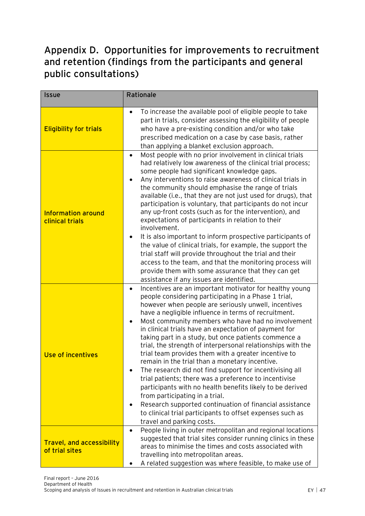## <span id="page-47-0"></span>**Appendix D. Opportunities for improvements to recruitment and retention (findings from the participants and general public consultations)**

| <b>Issue</b>                                       | Rationale                                                                                                                                                                                                                                                                                                                                                                                                                                                                                                                                                                                                                                                                                                                                                                                                                                                                                                                                                                                           |
|----------------------------------------------------|-----------------------------------------------------------------------------------------------------------------------------------------------------------------------------------------------------------------------------------------------------------------------------------------------------------------------------------------------------------------------------------------------------------------------------------------------------------------------------------------------------------------------------------------------------------------------------------------------------------------------------------------------------------------------------------------------------------------------------------------------------------------------------------------------------------------------------------------------------------------------------------------------------------------------------------------------------------------------------------------------------|
| <b>Eligibility for trials</b>                      | To increase the available pool of eligible people to take<br>٠<br>part in trials, consider assessing the eligibility of people<br>who have a pre-existing condition and/or who take<br>prescribed medication on a case by case basis, rather<br>than applying a blanket exclusion approach.                                                                                                                                                                                                                                                                                                                                                                                                                                                                                                                                                                                                                                                                                                         |
| <b>Information around</b><br>clinical trials       | Most people with no prior involvement in clinical trials<br>$\bullet$<br>had relatively low awareness of the clinical trial process;<br>some people had significant knowledge gaps.<br>Any interventions to raise awareness of clinical trials in<br>the community should emphasise the range of trials<br>available (i.e., that they are not just used for drugs), that<br>participation is voluntary, that participants do not incur<br>any up-front costs (such as for the intervention), and<br>expectations of participants in relation to their<br>involvement.                                                                                                                                                                                                                                                                                                                                                                                                                               |
|                                                    | It is also important to inform prospective participants of<br>the value of clinical trials, for example, the support the<br>trial staff will provide throughout the trial and their<br>access to the team, and that the monitoring process will<br>provide them with some assurance that they can get<br>assistance if any issues are identified.                                                                                                                                                                                                                                                                                                                                                                                                                                                                                                                                                                                                                                                   |
| <b>Use of incentives</b>                           | Incentives are an important motivator for healthy young<br>$\bullet$<br>people considering participating in a Phase 1 trial,<br>however when people are seriously unwell, incentives<br>have a negligible influence in terms of recruitment.<br>Most community members who have had no involvement<br>٠<br>in clinical trials have an expectation of payment for<br>taking part in a study, but once patients commence a<br>trial, the strength of interpersonal relationships with the<br>trial team provides them with a greater incentive to<br>remain in the trial than a monetary incentive.<br>The research did not find support for incentivising all<br>$\bullet$<br>trial patients; there was a preference to incentivise<br>participants with no health benefits likely to be derived<br>from participating in a trial.<br>Research supported continuation of financial assistance<br>$\bullet$<br>to clinical trial participants to offset expenses such as<br>travel and parking costs. |
| <b>Travel, and accessibility</b><br>of trial sites | People living in outer metropolitan and regional locations<br>$\bullet$<br>suggested that trial sites consider running clinics in these<br>areas to minimise the times and costs associated with<br>travelling into metropolitan areas.<br>A related suggestion was where feasible, to make use of                                                                                                                                                                                                                                                                                                                                                                                                                                                                                                                                                                                                                                                                                                  |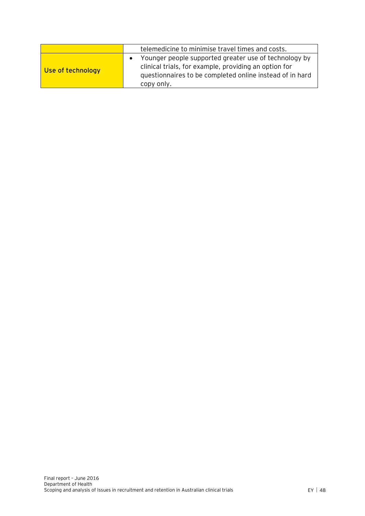|                   | telemedicine to minimise travel times and costs.                                                                                                                                         |
|-------------------|------------------------------------------------------------------------------------------------------------------------------------------------------------------------------------------|
| Use of technology | Younger people supported greater use of technology by<br>clinical trials, for example, providing an option for<br>questionnaires to be completed online instead of in hard<br>copy only. |